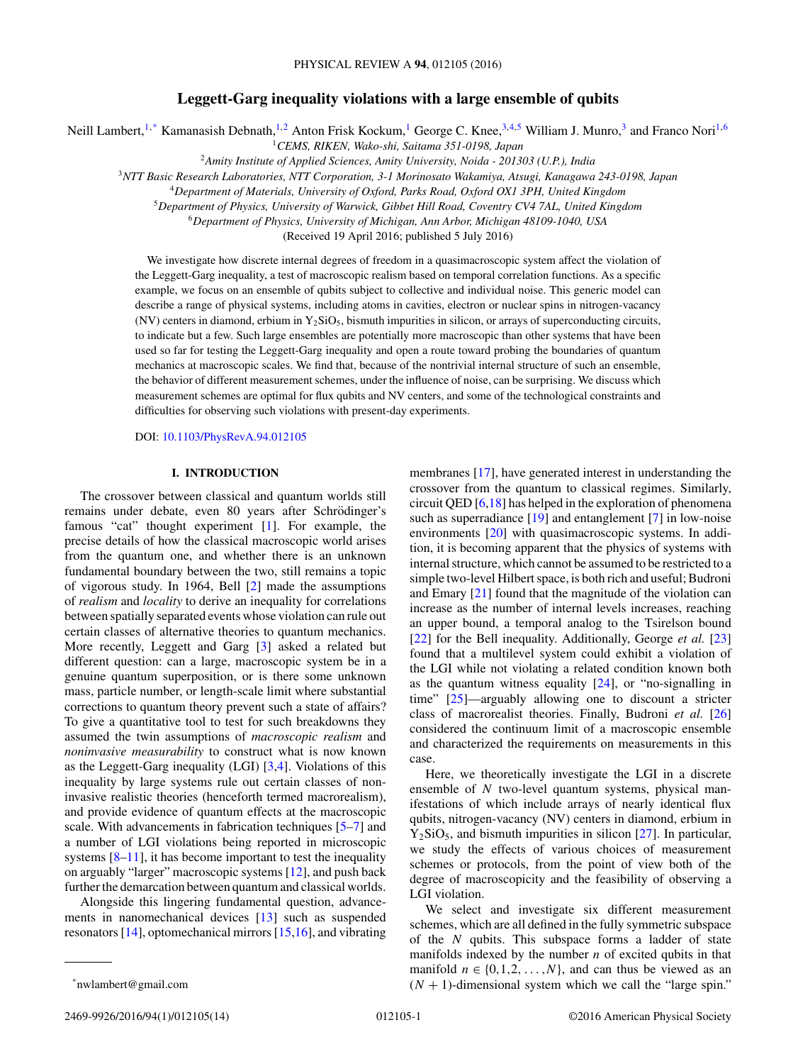# **Leggett-Garg inequality violations with a large ensemble of qubits**

Neill Lambert,<sup>1,\*</sup> Kamanasish Debnath,<sup>1,2</sup> Anton Frisk Kockum,<sup>1</sup> George C. Knee,<sup>3,4,5</sup> William J. Munro,<sup>3</sup> and Franco Nori<sup>1,6</sup>

<sup>1</sup>*CEMS, RIKEN, Wako-shi, Saitama 351-0198, Japan*

<sup>2</sup>*Amity Institute of Applied Sciences, Amity University, Noida - 201303 (U.P.), India*

<sup>3</sup>*NTT Basic Research Laboratories, NTT Corporation, 3-1 Morinosato Wakamiya, Atsugi, Kanagawa 243-0198, Japan*

<sup>4</sup>*Department of Materials, University of Oxford, Parks Road, Oxford OX1 3PH, United Kingdom*

<sup>5</sup>*Department of Physics, University of Warwick, Gibbet Hill Road, Coventry CV4 7AL, United Kingdom*

<sup>6</sup>*Department of Physics, University of Michigan, Ann Arbor, Michigan 48109-1040, USA*

(Received 19 April 2016; published 5 July 2016)

We investigate how discrete internal degrees of freedom in a quasimacroscopic system affect the violation of the Leggett-Garg inequality, a test of macroscopic realism based on temporal correlation functions. As a specific example, we focus on an ensemble of qubits subject to collective and individual noise. This generic model can describe a range of physical systems, including atoms in cavities, electron or nuclear spins in nitrogen-vacancy (NV) centers in diamond, erbium in  $Y_2SiO_5$ , bismuth impurities in silicon, or arrays of superconducting circuits, to indicate but a few. Such large ensembles are potentially more macroscopic than other systems that have been used so far for testing the Leggett-Garg inequality and open a route toward probing the boundaries of quantum mechanics at macroscopic scales. We find that, because of the nontrivial internal structure of such an ensemble, the behavior of different measurement schemes, under the influence of noise, can be surprising. We discuss which measurement schemes are optimal for flux qubits and NV centers, and some of the technological constraints and difficulties for observing such violations with present-day experiments.

DOI: [10.1103/PhysRevA.94.012105](http://dx.doi.org/10.1103/PhysRevA.94.012105)

## **I. INTRODUCTION**

The crossover between classical and quantum worlds still remains under debate, even 80 years after Schrödinger's famous "cat" thought experiment [\[1\]](#page-11-0). For example, the precise details of how the classical macroscopic world arises from the quantum one, and whether there is an unknown fundamental boundary between the two, still remains a topic of vigorous study. In 1964, Bell [\[2\]](#page-11-0) made the assumptions of *realism* and *locality* to derive an inequality for correlations between spatially separated events whose violation can rule out certain classes of alternative theories to quantum mechanics. More recently, Leggett and Garg [\[3\]](#page-11-0) asked a related but different question: can a large, macroscopic system be in a genuine quantum superposition, or is there some unknown mass, particle number, or length-scale limit where substantial corrections to quantum theory prevent such a state of affairs? To give a quantitative tool to test for such breakdowns they assumed the twin assumptions of *macroscopic realism* and *noninvasive measurability* to construct what is now known as the Leggett-Garg inequality (LGI) [\[3,4\]](#page-11-0). Violations of this inequality by large systems rule out certain classes of noninvasive realistic theories (henceforth termed macrorealism), and provide evidence of quantum effects at the macroscopic scale. With advancements in fabrication techniques [\[5–7\]](#page-11-0) and a number of LGI violations being reported in microscopic systems  $[8-11]$ , it has become important to test the inequality on arguably "larger" macroscopic systems [\[12\]](#page-11-0), and push back further the demarcation between quantum and classical worlds.

Alongside this lingering fundamental question, advancements in nanomechanical devices [\[13\]](#page-11-0) such as suspended resonators [\[14\]](#page-11-0), optomechanical mirrors [\[15,16\]](#page-11-0), and vibrating membranes [\[17\]](#page-11-0), have generated interest in understanding the crossover from the quantum to classical regimes. Similarly, circuit QED [\[6,18\]](#page-11-0) has helped in the exploration of phenomena such as superradiance [\[19\]](#page-11-0) and entanglement [\[7\]](#page-11-0) in low-noise environments [\[20\]](#page-11-0) with quasimacroscopic systems. In addition, it is becoming apparent that the physics of systems with internal structure, which cannot be assumed to be restricted to a simple two-level Hilbert space, is both rich and useful; Budroni and Emary [\[21\]](#page-11-0) found that the magnitude of the violation can increase as the number of internal levels increases, reaching an upper bound, a temporal analog to the Tsirelson bound [\[22\]](#page-11-0) for the Bell inequality. Additionally, George *et al.* [\[23\]](#page-11-0) found that a multilevel system could exhibit a violation of the LGI while not violating a related condition known both as the quantum witness equality [\[24\]](#page-12-0), or "no-signalling in time" [\[25\]](#page-12-0)—arguably allowing one to discount a stricter class of macrorealist theories. Finally, Budroni *et al.* [\[26\]](#page-12-0) considered the continuum limit of a macroscopic ensemble and characterized the requirements on measurements in this case.

Here, we theoretically investigate the LGI in a discrete ensemble of *N* two-level quantum systems, physical manifestations of which include arrays of nearly identical flux qubits, nitrogen-vacancy (NV) centers in diamond, erbium in  $Y_2SiO_5$ , and bismuth impurities in silicon [\[27\]](#page-12-0). In particular, we study the effects of various choices of measurement schemes or protocols, from the point of view both of the degree of macroscopicity and the feasibility of observing a LGI violation.

We select and investigate six different measurement schemes, which are all defined in the fully symmetric subspace of the *N* qubits. This subspace forms a ladder of state manifolds indexed by the number *n* of excited qubits in that manifold  $n \in \{0, 1, 2, \ldots, N\}$ , and can thus be viewed as an  $(N + 1)$ -dimensional system which we call the "large spin."

<sup>\*</sup>nwlambert@gmail.com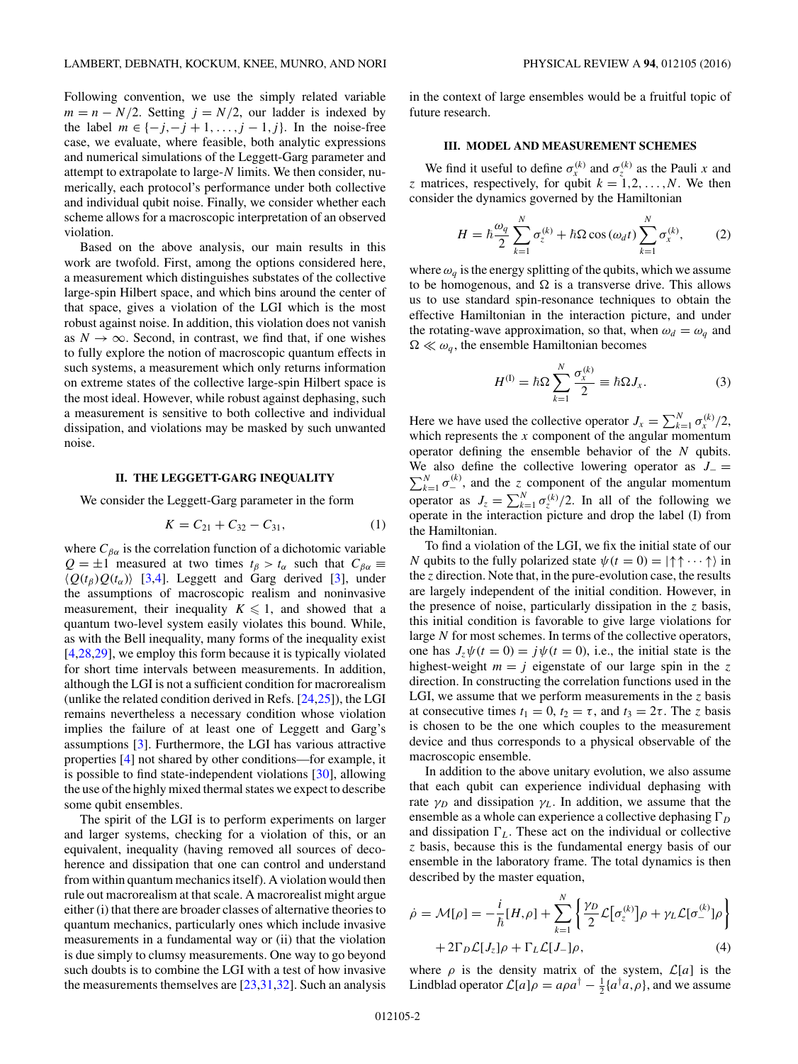<span id="page-1-0"></span>Following convention, we use the simply related variable  $m = n - N/2$ . Setting  $j = N/2$ , our ladder is indexed by the label  $m \in \{-j, -j + 1, \ldots, j - 1, j\}$ . In the noise-free case, we evaluate, where feasible, both analytic expressions and numerical simulations of the Leggett-Garg parameter and attempt to extrapolate to large-*N* limits. We then consider, numerically, each protocol's performance under both collective and individual qubit noise. Finally, we consider whether each scheme allows for a macroscopic interpretation of an observed violation.

Based on the above analysis, our main results in this work are twofold. First, among the options considered here, a measurement which distinguishes substates of the collective large-spin Hilbert space, and which bins around the center of that space, gives a violation of the LGI which is the most robust against noise. In addition, this violation does not vanish as  $N \to \infty$ . Second, in contrast, we find that, if one wishes to fully explore the notion of macroscopic quantum effects in such systems, a measurement which only returns information on extreme states of the collective large-spin Hilbert space is the most ideal. However, while robust against dephasing, such a measurement is sensitive to both collective and individual dissipation, and violations may be masked by such unwanted noise.

### **II. THE LEGGETT-GARG INEQUALITY**

We consider the Leggett-Garg parameter in the form

$$
K = C_{21} + C_{32} - C_{31}, \tag{1}
$$

where  $C_{\beta\alpha}$  is the correlation function of a dichotomic variable  $Q = \pm 1$  measured at two times  $t_\beta > t_\alpha$  such that  $C_{\beta\alpha} \equiv$  $\langle Q(t_\beta)Q(t_\alpha)\rangle$  [\[3,4\]](#page-11-0). Leggett and Garg derived [\[3\]](#page-11-0), under the assumptions of macroscopic realism and noninvasive measurement, their inequality  $K \leq 1$ , and showed that a quantum two-level system easily violates this bound. While, as with the Bell inequality, many forms of the inequality exist [\[4](#page-11-0)[,28,29\]](#page-12-0), we employ this form because it is typically violated for short time intervals between measurements. In addition, although the LGI is not a sufficient condition for macrorealism (unlike the related condition derived in Refs. [\[24,25\]](#page-12-0)), the LGI remains nevertheless a necessary condition whose violation implies the failure of at least one of Leggett and Garg's assumptions [\[3\]](#page-11-0). Furthermore, the LGI has various attractive properties [\[4\]](#page-11-0) not shared by other conditions—for example, it is possible to find state-independent violations [\[30\]](#page-12-0), allowing the use of the highly mixed thermal states we expect to describe some qubit ensembles.

The spirit of the LGI is to perform experiments on larger and larger systems, checking for a violation of this, or an equivalent, inequality (having removed all sources of decoherence and dissipation that one can control and understand from within quantum mechanics itself). A violation would then rule out macrorealism at that scale. A macrorealist might argue either (i) that there are broader classes of alternative theories to quantum mechanics, particularly ones which include invasive measurements in a fundamental way or (ii) that the violation is due simply to clumsy measurements. One way to go beyond such doubts is to combine the LGI with a test of how invasive the measurements themselves are  $[23,31,32]$  $[23,31,32]$ . Such an analysis

in the context of large ensembles would be a fruitful topic of future research.

### **III. MODEL AND MEASUREMENT SCHEMES**

We find it useful to define  $\sigma_x^{(k)}$  and  $\sigma_z^{(k)}$  as the Pauli *x* and *z* matrices, respectively, for qubit  $k = 1, 2, \ldots, N$ . We then consider the dynamics governed by the Hamiltonian

$$
H = \hbar \frac{\omega_q}{2} \sum_{k=1}^{N} \sigma_z^{(k)} + \hbar \Omega \cos(\omega_d t) \sum_{k=1}^{N} \sigma_x^{(k)},
$$
 (2)

where  $\omega_q$  is the energy splitting of the qubits, which we assume to be homogenous, and  $\Omega$  is a transverse drive. This allows us to use standard spin-resonance techniques to obtain the effective Hamiltonian in the interaction picture, and under the rotating-wave approximation, so that, when  $\omega_d = \omega_q$  and  $\Omega \ll \omega_q$ , the ensemble Hamiltonian becomes

$$
H^{(1)} = \hbar \Omega \sum_{k=1}^{N} \frac{\sigma_x^{(k)}}{2} \equiv \hbar \Omega J_x. \tag{3}
$$

Here we have used the collective operator  $J_x = \sum_{k=1}^{N} \sigma_x^{(k)}/2$ , which represents the *x* component of the angular momentum operator defining the ensemble behavior of the *N* qubits. We also define the collective lowering operator as  $J_$  =  $\sum_{k=1}^{N} \sigma_{-}^{(k)}$ , and the *z* component of the angular momentum operator as  $J_z = \sum_{k=1}^{N} \sigma_z^{(k)}/2$ . In all of the following we operate in the interaction picture and drop the label (I) from the Hamiltonian.

To find a violation of the LGI, we fix the initial state of our *N* qubits to the fully polarized state  $\psi(t = 0) = |\uparrow \uparrow \cdots \uparrow \rangle$  in the *z* direction. Note that, in the pure-evolution case, the results are largely independent of the initial condition. However, in the presence of noise, particularly dissipation in the *z* basis, this initial condition is favorable to give large violations for large *N* for most schemes. In terms of the collective operators, one has  $J_z\psi(t=0) = j\psi(t=0)$ , i.e., the initial state is the highest-weight  $m = j$  eigenstate of our large spin in the z direction. In constructing the correlation functions used in the LGI, we assume that we perform measurements in the *z* basis at consecutive times  $t_1 = 0$ ,  $t_2 = \tau$ , and  $t_3 = 2\tau$ . The *z* basis is chosen to be the one which couples to the measurement device and thus corresponds to a physical observable of the macroscopic ensemble.

In addition to the above unitary evolution, we also assume that each qubit can experience individual dephasing with rate  $\gamma_D$  and dissipation  $\gamma_L$ . In addition, we assume that the ensemble as a whole can experience a collective dephasing  $\Gamma_D$ and dissipation  $\Gamma_L$ . These act on the individual or collective *z* basis, because this is the fundamental energy basis of our ensemble in the laboratory frame. The total dynamics is then described by the master equation,

$$
\dot{\rho} = \mathcal{M}[\rho] = -\frac{i}{\hbar} [H,\rho] + \sum_{k=1}^{N} \left\{ \frac{\gamma_D}{2} \mathcal{L} [\sigma_z^{(k)}] \rho + \gamma_L \mathcal{L} [\sigma_-^{(k)}] \rho \right\} + 2\Gamma_D \mathcal{L} [J_z] \rho + \Gamma_L \mathcal{L} [J_-] \rho, \tag{4}
$$

where  $\rho$  is the density matrix of the system,  $\mathcal{L}[a]$  is the Lindblad operator  $\mathcal{L}[a]\rho = a\rho a^{\dagger} - \frac{1}{2} \{a^{\dagger}a,\rho\}$ , and we assume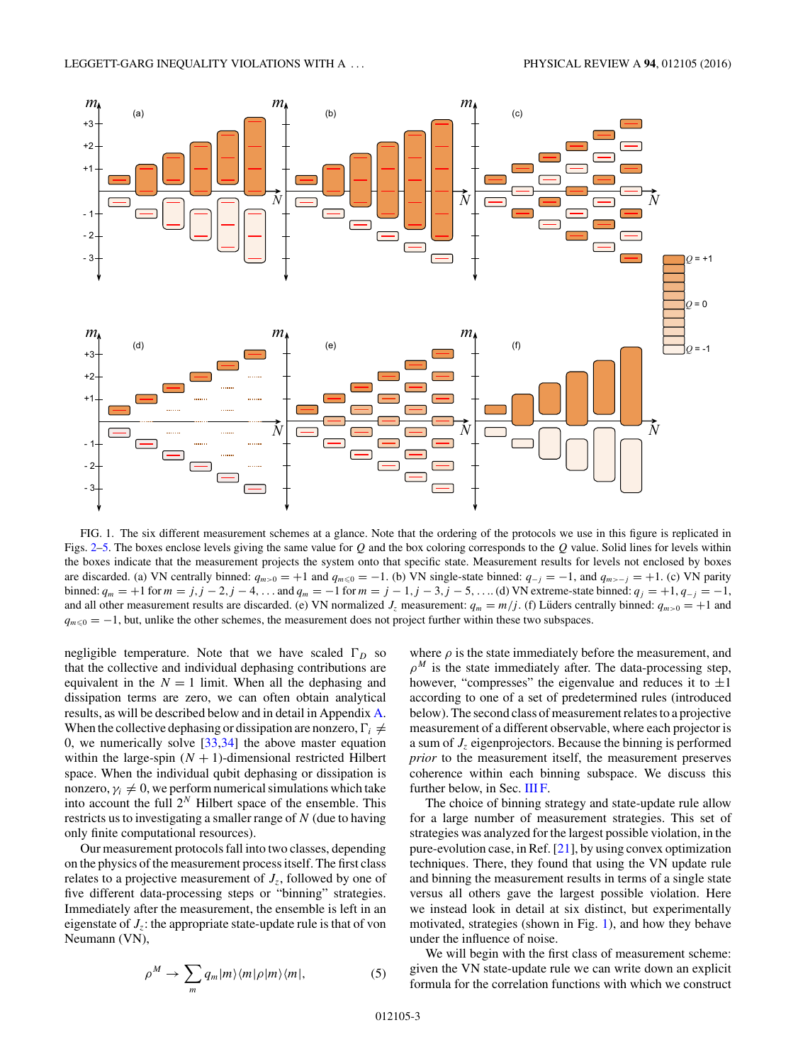<span id="page-2-0"></span>

FIG. 1. The six different measurement schemes at a glance. Note that the ordering of the protocols we use in this figure is replicated in Figs. [2–](#page-3-0)[5.](#page-7-0) The boxes enclose levels giving the same value for *Q* and the box coloring corresponds to the *Q* value. Solid lines for levels within the boxes indicate that the measurement projects the system onto that specific state. Measurement results for levels not enclosed by boxes are discarded. (a) VN centrally binned:  $q_{m>0} = +1$  and  $q_{m\leq 0} = -1$ . (b) VN single-state binned:  $q_{-j} = -1$ , and  $q_{m>-j} = +1$ . (c) VN parity binned:  $q_m = +1$  for  $m = j, j = 2, j = 4, ...$  and  $q_m = -1$  for  $m = j = 1, j = 3, j = 5, ...$  (d) VN extreme-state binned:  $q_j = +1, q_{-j} = -1,$ and all other measurement results are discarded. (e) VN normalized  $J_z$  measurement:  $q_m = m/j$ . (f) Lüders centrally binned:  $q_{m>0} = +1$  and  $q_{m \leq 0} = -1$ , but, unlike the other schemes, the measurement does not project further within these two subspaces.

negligible temperature. Note that we have scaled  $\Gamma_D$  so that the collective and individual dephasing contributions are equivalent in the  $N = 1$  limit. When all the dephasing and dissipation terms are zero, we can often obtain analytical results, as will be described below and in detail in Appendix [A.](#page-8-0) When the collective dephasing or dissipation are nonzero,  $\Gamma_i \neq$ 0, we numerically solve  $[33,34]$  the above master equation within the large-spin  $(N + 1)$ -dimensional restricted Hilbert space. When the individual qubit dephasing or dissipation is nonzero,  $\gamma_i \neq 0$ , we perform numerical simulations which take into account the full  $2^N$  Hilbert space of the ensemble. This restricts us to investigating a smaller range of *N* (due to having only finite computational resources).

Our measurement protocols fall into two classes, depending on the physics of the measurement process itself. The first class relates to a projective measurement of  $J_z$ , followed by one of five different data-processing steps or "binning" strategies. Immediately after the measurement, the ensemble is left in an eigenstate of *Jz*: the appropriate state-update rule is that of von Neumann (VN),

$$
\rho^M \to \sum_m q_m |m\rangle\langle m|\rho|m\rangle\langle m|,\tag{5}
$$

where  $\rho$  is the state immediately before the measurement, and  $\rho^M$  is the state immediately after. The data-processing step, however, "compresses" the eigenvalue and reduces it to  $\pm 1$ according to one of a set of predetermined rules (introduced below). The second class of measurement relates to a projective measurement of a different observable, where each projector is a sum of *Jz* eigenprojectors. Because the binning is performed *prior* to the measurement itself, the measurement preserves coherence within each binning subspace. We discuss this further below, in Sec. [III F.](#page-5-0)

The choice of binning strategy and state-update rule allow for a large number of measurement strategies. This set of strategies was analyzed for the largest possible violation, in the pure-evolution case, in Ref. [\[21\]](#page-11-0), by using convex optimization techniques. There, they found that using the VN update rule and binning the measurement results in terms of a single state versus all others gave the largest possible violation. Here we instead look in detail at six distinct, but experimentally motivated, strategies (shown in Fig. 1), and how they behave under the influence of noise.

We will begin with the first class of measurement scheme: given the VN state-update rule we can write down an explicit formula for the correlation functions with which we construct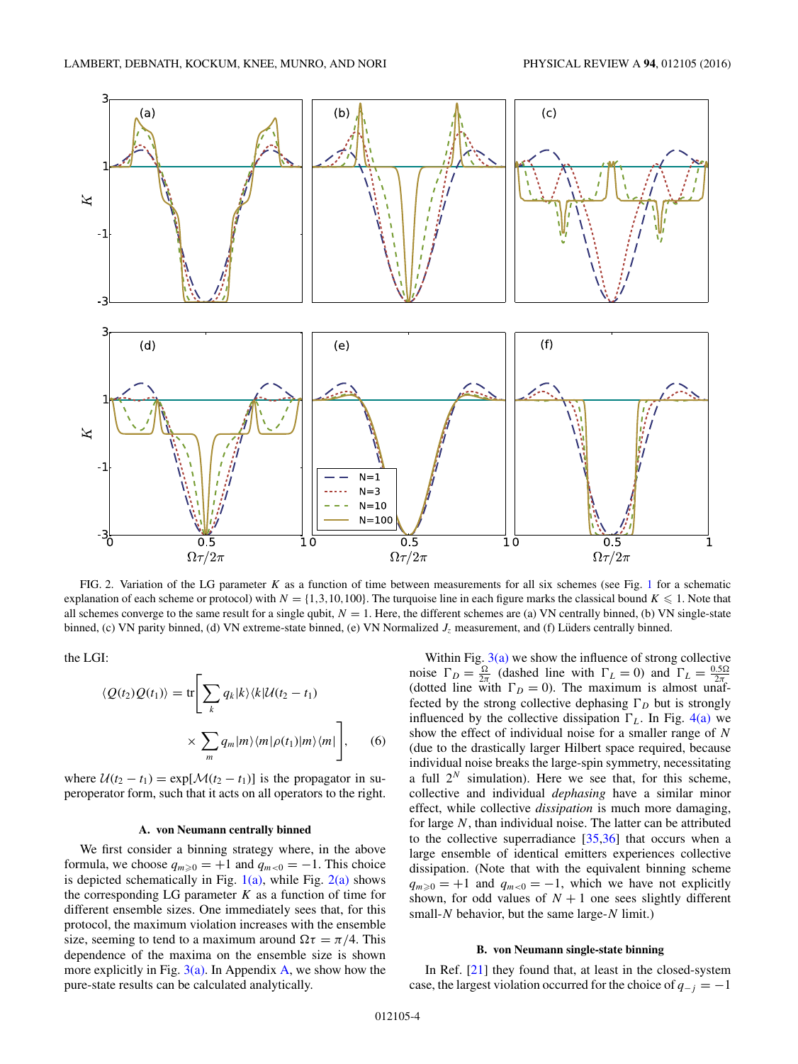<span id="page-3-0"></span>

FIG. 2. Variation of the LG parameter *K* as a function of time between measurements for all six schemes (see Fig. [1](#page-2-0) for a schematic explanation of each scheme or protocol) with  $N = \{1,3,10,100\}$ . The turquoise line in each figure marks the classical bound  $K \leq 1$ . Note that all schemes converge to the same result for a single qubit,  $N = 1$ . Here, the different schemes are (a) VN centrally binned, (b) VN single-state binned, (c) VN parity binned, (d) VN extreme-state binned, (e) VN Normalized  $J<sub>z</sub>$  measurement, and (f) Lüders centrally binned.

the LGI:

$$
\langle Q(t_2)Q(t_1)\rangle = \text{tr}\Bigg[\sum_k q_k |k\rangle\langle k|\mathcal{U}(t_2 - t_1)\Bigg]
$$

$$
\times \sum_m q_m |m\rangle\langle m|\rho(t_1)|m\rangle\langle m|\Bigg], \qquad (6)
$$

where  $U(t_2 - t_1) = \exp[\mathcal{M}(t_2 - t_1)]$  is the propagator in superoperator form, such that it acts on all operators to the right.

### **A. von Neumann centrally binned**

We first consider a binning strategy where, in the above formula, we choose  $q_{m\geqslant0} = +1$  and  $q_{m<0} = -1$ . This choice is depicted schematically in Fig.  $1(a)$ , while Fig.  $2(a)$  shows the corresponding LG parameter  $K$  as a function of time for different ensemble sizes. One immediately sees that, for this protocol, the maximum violation increases with the ensemble size, seeming to tend to a maximum around  $\Omega \tau = \pi/4$ . This dependence of the maxima on the ensemble size is shown more explicitly in Fig.  $3(a)$ . In Appendix [A,](#page-8-0) we show how the pure-state results can be calculated analytically.

Within Fig.  $3(a)$  we show the influence of strong collective noise  $\Gamma_D = \frac{\Omega}{2\pi}$  (dashed line with  $\Gamma_L = 0$ ) and  $\Gamma_L = \frac{0.5\Omega}{2\pi}$ (dotted line with  $\Gamma_D = 0$ ). The maximum is almost unaffected by the strong collective dephasing  $\Gamma_D$  but is strongly influenced by the collective dissipation  $\Gamma_L$ . In Fig. [4\(a\)](#page-4-0) we show the effect of individual noise for a smaller range of *N* (due to the drastically larger Hilbert space required, because individual noise breaks the large-spin symmetry, necessitating a full  $2^N$  simulation). Here we see that, for this scheme, collective and individual *dephasing* have a similar minor effect, while collective *dissipation* is much more damaging, for large *N*, than individual noise. The latter can be attributed to the collective superradiance [\[35,36\]](#page-12-0) that occurs when a large ensemble of identical emitters experiences collective dissipation. (Note that with the equivalent binning scheme  $q_{m\geq 0} = +1$  and  $q_{m<0} = -1$ , which we have not explicitly shown, for odd values of  $N + 1$  one sees slightly different small-*N* behavior, but the same large-*N* limit.)

### **B. von Neumann single-state binning**

In Ref. [\[21\]](#page-11-0) they found that, at least in the closed-system case, the largest violation occurred for the choice of  $q_{-j} = -1$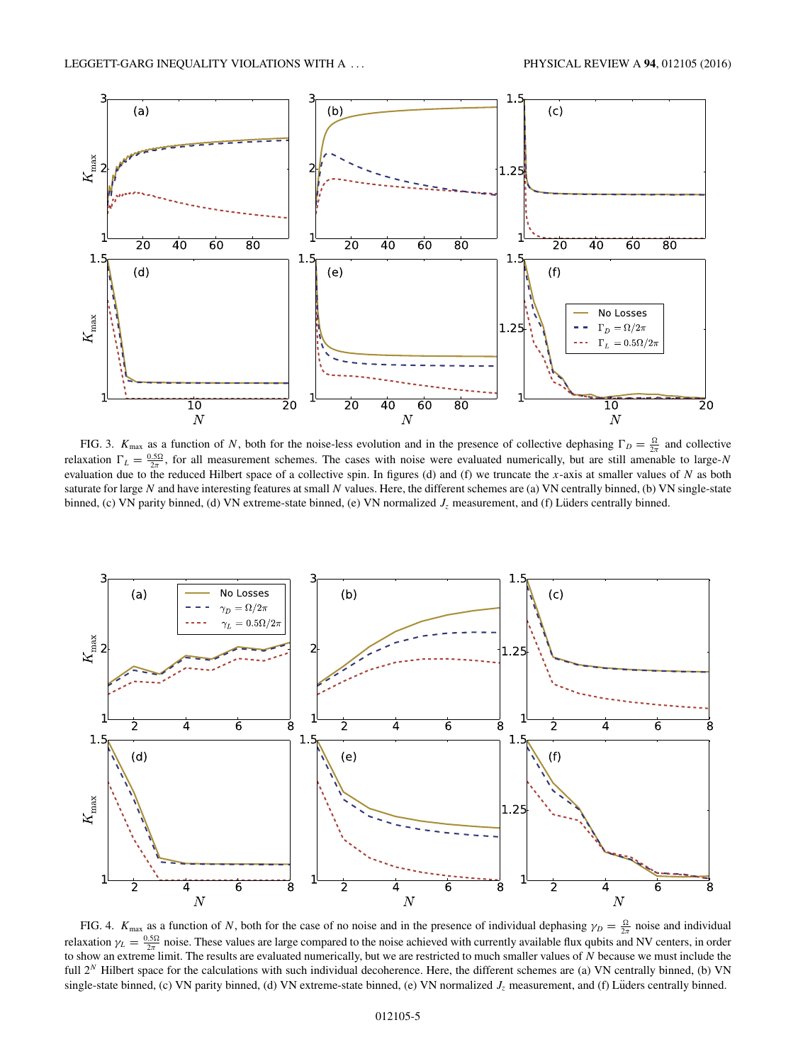<span id="page-4-0"></span>

FIG. 3.  $K_{\text{max}}$  as a function of *N*, both for the noise-less evolution and in the presence of collective dephasing  $\Gamma_D = \frac{\Omega}{2\pi}$  and collective relaxation  $\Gamma_L = \frac{0.5\Omega}{2\pi}$ , for all measurement schemes. The cases with noise were evaluated numerically, but are still amenable to large-*N* evaluation due to the reduced Hilbert space of a collective spin. In figures (d) and (f) we truncate the *x*-axis at smaller values of *N* as both saturate for large *N* and have interesting features at small *N* values. Here, the different schemes are (a) VN centrally binned, (b) VN single-state binned, (c) VN parity binned, (d) VN extreme-state binned, (e) VN normalized  $J<sub>z</sub>$  measurement, and (f) Lüders centrally binned.



FIG. 4.  $K_{\text{max}}$  as a function of *N*, both for the case of no noise and in the presence of individual dephasing  $\gamma_D = \frac{\Omega}{2\pi}$  noise and individual relaxation  $\gamma_L = \frac{0.5\Omega}{2\pi}$  noise. These values are large compared to the noise achieved with currently available flux qubits and NV centers, in order to show an extreme limit. The results are evaluated numerically, but we are restricted to much smaller values of *N* because we must include the full 2<sup>*N*</sup> Hilbert space for the calculations with such individual decoherence. Here, the different schemes are (a) VN centrally binned, (b) VN single-state binned, (c) VN parity binned, (d) VN extreme-state binned, (e) VN normalized  $J_z$  measurement, and (f) Lüders centrally binned.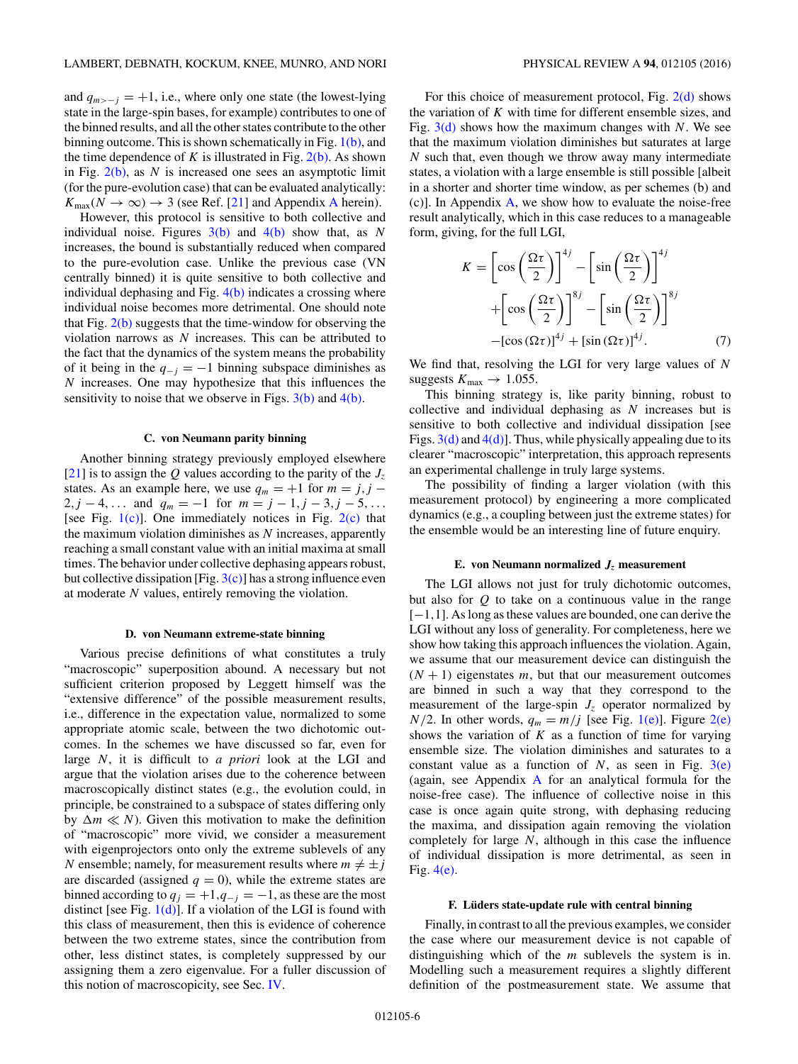<span id="page-5-0"></span>and  $q_{m>-j} = +1$ , i.e., where only one state (the lowest-lying state in the large-spin bases, for example) contributes to one of the binned results, and all the other states contribute to the other binning outcome. This is shown schematically in Fig.  $1(b)$ , and the time dependence of  $K$  is illustrated in Fig.  $2(b)$ . As shown in Fig. [2\(b\),](#page-3-0) as *N* is increased one sees an asymptotic limit (for the pure-evolution case) that can be evaluated analytically:  $K_{\text{max}}(N \to \infty) \to 3$  (see Ref. [\[21\]](#page-11-0) and [A](#page-8-0)ppendix A herein).

However, this protocol is sensitive to both collective and individual noise. Figures [3\(b\)](#page-4-0) and [4\(b\)](#page-4-0) show that, as *N* increases, the bound is substantially reduced when compared to the pure-evolution case. Unlike the previous case (VN centrally binned) it is quite sensitive to both collective and individual dephasing and Fig.  $4(b)$  indicates a crossing where individual noise becomes more detrimental. One should note that Fig.  $2(b)$  suggests that the time-window for observing the violation narrows as *N* increases. This can be attributed to the fact that the dynamics of the system means the probability of it being in the  $q_{-j} = -1$  binning subspace diminishes as *N* increases. One may hypothesize that this influences the sensitivity to noise that we observe in Figs.  $3(b)$  and  $4(b)$ .

#### **C. von Neumann parity binning**

Another binning strategy previously employed elsewhere  $[21]$  is to assign the *Q* values according to the parity of the  $J_z$ states. As an example here, we use  $q_m = +1$  for  $m = j, j -1$ 2*, j* − 4*,...* and  $q_m = -1$  for  $m = j - 1, j - 3, j - 5, \ldots$ [see Fig.  $1(c)$ ]. One immediately notices in Fig.  $2(c)$  that the maximum violation diminishes as *N* increases, apparently reaching a small constant value with an initial maxima at small times. The behavior under collective dephasing appears robust, but collective dissipation [Fig.  $3(c)$ ] has a strong influence even at moderate *N* values, entirely removing the violation.

#### **D. von Neumann extreme-state binning**

Various precise definitions of what constitutes a truly "macroscopic" superposition abound. A necessary but not sufficient criterion proposed by Leggett himself was the "extensive difference" of the possible measurement results, i.e., difference in the expectation value, normalized to some appropriate atomic scale, between the two dichotomic outcomes. In the schemes we have discussed so far, even for large *N*, it is difficult to *a priori* look at the LGI and argue that the violation arises due to the coherence between macroscopically distinct states (e.g., the evolution could, in principle, be constrained to a subspace of states differing only by  $\Delta m \ll N$ ). Given this motivation to make the definition of "macroscopic" more vivid, we consider a measurement with eigenprojectors onto only the extreme sublevels of any *N* ensemble; namely, for measurement results where  $m \neq \pm j$ are discarded (assigned  $q = 0$ ), while the extreme states are binned according to  $q_j = +1, q_{-j} = -1$ , as these are the most distinct [see Fig.  $1(d)$ ]. If a violation of the LGI is found with this class of measurement, then this is evidence of coherence between the two extreme states, since the contribution from other, less distinct states, is completely suppressed by our assigning them a zero eigenvalue. For a fuller discussion of this notion of macroscopicity, see Sec. [IV.](#page-6-0)

For this choice of measurement protocol, Fig. [2\(d\)](#page-3-0) shows the variation of *K* with time for different ensemble sizes, and Fig. [3\(d\)](#page-4-0) shows how the maximum changes with *N*. We see that the maximum violation diminishes but saturates at large *N* such that, even though we throw away many intermediate states, a violation with a large ensemble is still possible [albeit in a shorter and shorter time window, as per schemes (b) and (c)]. In Appendix [A,](#page-8-0) we show how to evaluate the noise-free result analytically, which in this case reduces to a manageable form, giving, for the full LGI,

$$
K = \left[\cos\left(\frac{\Omega\tau}{2}\right)\right]^{4j} - \left[\sin\left(\frac{\Omega\tau}{2}\right)\right]^{4j}
$$

$$
+ \left[\cos\left(\frac{\Omega\tau}{2}\right)\right]^{8j} - \left[\sin\left(\frac{\Omega\tau}{2}\right)\right]^{8j}
$$

$$
- [\cos(\Omega\tau)]^{4j} + [\sin(\Omega\tau)]^{4j}.
$$
 (7)

We find that, resolving the LGI for very large values of *N* suggests  $K_{\text{max}} \rightarrow 1.055$ .

This binning strategy is, like parity binning, robust to collective and individual dephasing as *N* increases but is sensitive to both collective and individual dissipation [see Figs.  $3(d)$  and  $4(d)$ ]. Thus, while physically appealing due to its clearer "macroscopic" interpretation, this approach represents an experimental challenge in truly large systems.

The possibility of finding a larger violation (with this measurement protocol) by engineering a more complicated dynamics (e.g., a coupling between just the extreme states) for the ensemble would be an interesting line of future enquiry.

### **E. von Neumann normalized**  $J_z$  measurement

The LGI allows not just for truly dichotomic outcomes, but also for *Q* to take on a continuous value in the range [−1*,*1]. As long as these values are bounded, one can derive the LGI without any loss of generality. For completeness, here we show how taking this approach influences the violation. Again, we assume that our measurement device can distinguish the  $(N + 1)$  eigenstates *m*, but that our measurement outcomes are binned in such a way that they correspond to the measurement of the large-spin  $J<sub>z</sub>$  operator normalized by  $N/2$ . In other words,  $q_m = m/j$  [see Fig. [1\(e\)\]](#page-2-0). Figure [2\(e\)](#page-3-0) shows the variation of  $K$  as a function of time for varying ensemble size. The violation diminishes and saturates to a constant value as a function of  $N$ , as seen in Fig.  $3(e)$ (again, see Appendix [A](#page-8-0) for an analytical formula for the noise-free case). The influence of collective noise in this case is once again quite strong, with dephasing reducing the maxima, and dissipation again removing the violation completely for large *N*, although in this case the influence of individual dissipation is more detrimental, as seen in Fig. [4\(e\).](#page-4-0)

#### **F. Luders state-update rule with central binning ¨**

Finally, in contrast to all the previous examples, we consider the case where our measurement device is not capable of distinguishing which of the *m* sublevels the system is in. Modelling such a measurement requires a slightly different definition of the postmeasurement state. We assume that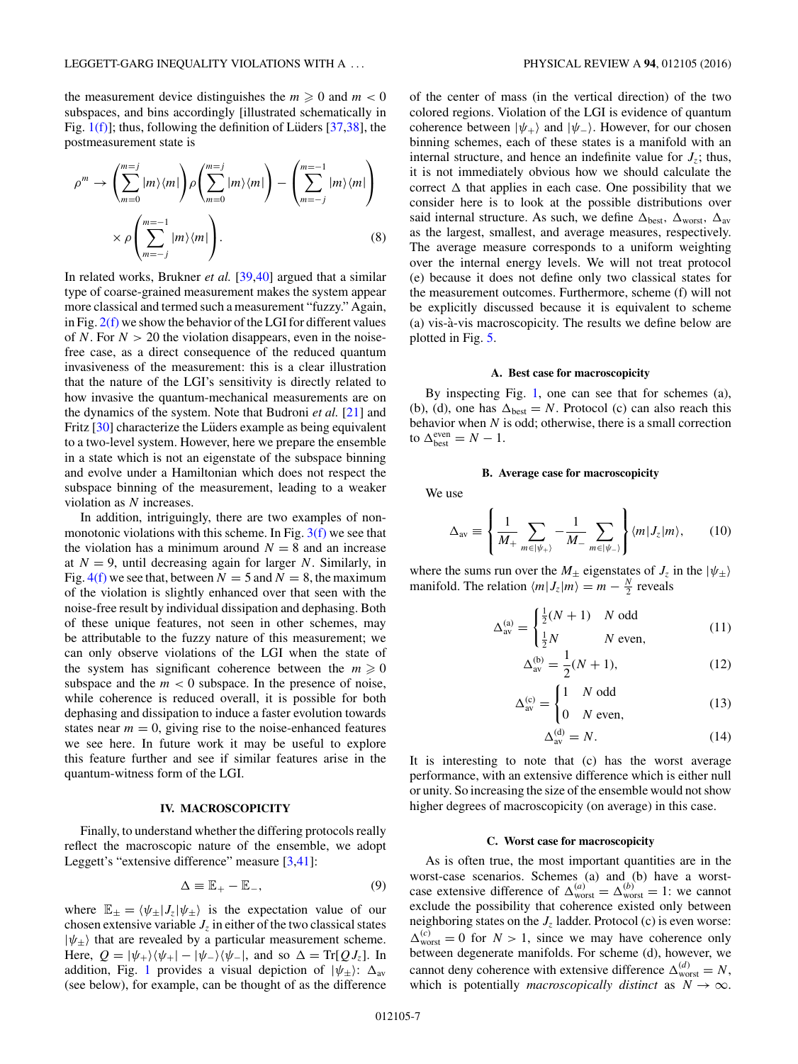<span id="page-6-0"></span>the measurement device distinguishes the  $m \geq 0$  and  $m < 0$ subspaces, and bins accordingly [illustrated schematically in Fig.  $1(f)$ ; thus, following the definition of Lüders [[37,38\]](#page-12-0), the postmeasurement state is

$$
\rho^m \to \left(\sum_{m=0}^{m=j} |m\rangle\langle m| \right) \rho \left(\sum_{m=0}^{m=j} |m\rangle\langle m| \right) - \left(\sum_{m=-j}^{m=-1} |m\rangle\langle m| \right)
$$

$$
\times \rho \left(\sum_{m=-j}^{m=-1} |m\rangle\langle m| \right). \tag{8}
$$

In related works, Brukner *et al.* [\[39,40\]](#page-12-0) argued that a similar type of coarse-grained measurement makes the system appear more classical and termed such a measurement "fuzzy." Again, in Fig.  $2(f)$  we show the behavior of the LGI for different values of *N*. For  $N > 20$  the violation disappears, even in the noisefree case, as a direct consequence of the reduced quantum invasiveness of the measurement: this is a clear illustration that the nature of the LGI's sensitivity is directly related to how invasive the quantum-mechanical measurements are on the dynamics of the system. Note that Budroni *et al.* [\[21\]](#page-11-0) and Fritz  $[30]$  characterize the Lüders example as being equivalent to a two-level system. However, here we prepare the ensemble in a state which is not an eigenstate of the subspace binning and evolve under a Hamiltonian which does not respect the subspace binning of the measurement, leading to a weaker violation as *N* increases.

In addition, intriguingly, there are two examples of nonmonotonic violations with this scheme. In Fig.  $3(f)$  we see that the violation has a minimum around  $N = 8$  and an increase at  $N = 9$ , until decreasing again for larger N. Similarly, in Fig.  $4(f)$  we see that, between  $N = 5$  and  $N = 8$ , the maximum of the violation is slightly enhanced over that seen with the noise-free result by individual dissipation and dephasing. Both of these unique features, not seen in other schemes, may be attributable to the fuzzy nature of this measurement; we can only observe violations of the LGI when the state of the system has significant coherence between the  $m \geq 0$ subspace and the  $m < 0$  subspace. In the presence of noise, while coherence is reduced overall, it is possible for both dephasing and dissipation to induce a faster evolution towards states near  $m = 0$ , giving rise to the noise-enhanced features we see here. In future work it may be useful to explore this feature further and see if similar features arise in the quantum-witness form of the LGI.

# **IV. MACROSCOPICITY**

Finally, to understand whether the differing protocols really reflect the macroscopic nature of the ensemble, we adopt Leggett's "extensive difference" measure [\[3,](#page-11-0)[41\]](#page-12-0):

$$
\Delta \equiv \mathbb{E}_{+} - \mathbb{E}_{-},\tag{9}
$$

where  $\mathbb{E}_{\pm} = \langle \psi_{\pm} | J_z | \psi_{\pm} \rangle$  is the expectation value of our chosen extensive variable  $J_z$  in either of the two classical states  $|\psi_{\pm}\rangle$  that are revealed by a particular measurement scheme. Here,  $Q = |\psi_+\rangle \langle \psi_+| - |\psi_-\rangle \langle \psi_-|$ , and so  $\Delta = \text{Tr}[Q J_z]$ . In addition, Fig. [1](#page-2-0) provides a visual depiction of  $|\psi_{\pm}\rangle$ :  $\Delta_{\text{av}}$ (see below), for example, can be thought of as the difference

of the center of mass (in the vertical direction) of the two colored regions. Violation of the LGI is evidence of quantum coherence between  $|\psi_+\rangle$  and  $|\psi_-\rangle$ . However, for our chosen binning schemes, each of these states is a manifold with an internal structure, and hence an indefinite value for  $J_z$ ; thus, it is not immediately obvious how we should calculate the correct  $\Delta$  that applies in each case. One possibility that we consider here is to look at the possible distributions over said internal structure. As such, we define  $\Delta_{best}$ ,  $\Delta_{worst}$ ,  $\Delta_{av}$ as the largest, smallest, and average measures, respectively. The average measure corresponds to a uniform weighting over the internal energy levels. We will not treat protocol (e) because it does not define only two classical states for the measurement outcomes. Furthermore, scheme (f) will not be explicitly discussed because it is equivalent to scheme (a) vis-a-vis macroscopicity. The results we define below are ` plotted in Fig. [5.](#page-7-0)

#### **A. Best case for macroscopicity**

By inspecting Fig. [1,](#page-2-0) one can see that for schemes (a), (b), (d), one has  $\Delta_{best} = N$ . Protocol (c) can also reach this behavior when *N* is odd; otherwise, there is a small correction to  $\Delta_{\text{best}}^{\text{even}} = N - 1$ .

#### **B. Average case for macroscopicity**

We use

$$
\Delta_{\text{av}} \equiv \left\{ \frac{1}{M_+} \sum_{m \in |\psi_+|} -\frac{1}{M_-} \sum_{m \in |\psi_-|} \right\} \langle m | J_z | m \rangle, \qquad (10)
$$

where the sums run over the  $M_{\pm}$  eigenstates of  $J_z$  in the  $|\psi_{\pm}\rangle$ manifold. The relation  $\langle m | J_z | m \rangle = m - \frac{N}{2}$  reveals

$$
\Delta_{\text{av}}^{(\text{a})} = \begin{cases} \frac{1}{2}(N+1) & N \text{ odd} \\ \frac{1}{2}N & N \text{ even,} \end{cases}
$$
(11)

$$
\Delta_{\rm av}^{(b)} = \frac{1}{2}(N+1),\tag{12}
$$

$$
\Delta_{\text{av}}^{(\text{c})} = \begin{cases} 1 & N \text{ odd} \\ 0 & N \text{ even,} \end{cases}
$$
(13)

$$
\Delta_{\text{av}}^{(\text{d})} = N. \tag{14}
$$

It is interesting to note that (c) has the worst average performance, with an extensive difference which is either null or unity. So increasing the size of the ensemble would not show higher degrees of macroscopicity (on average) in this case.

## **C. Worst case for macroscopicity**

As is often true, the most important quantities are in the worst-case scenarios. Schemes (a) and (b) have a worstcase extensive difference of  $\Delta_{\text{worst}}^{(a)} = \Delta_{\text{worst}}^{(b)} = 1$ : we cannot exclude the possibility that coherence existed only between neighboring states on the  $J<sub>z</sub>$  ladder. Protocol (c) is even worse:  $\Delta_{\text{worst}}^{(c)} = 0$  for  $N > 1$ , since we may have coherence only between degenerate manifolds. For scheme (d), however, we cannot deny coherence with extensive difference  $\Delta_{\text{worst}}^{(d)} = N$ , which is potentially *macroscopically distinct* as  $N \to \infty$ .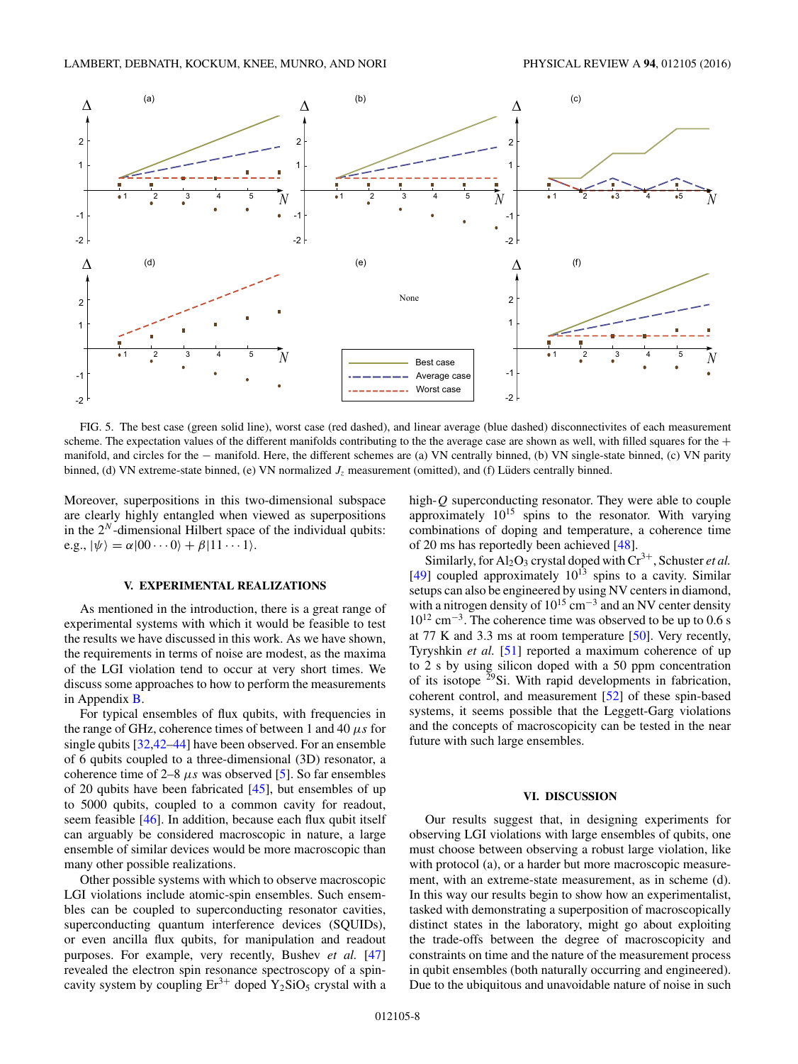<span id="page-7-0"></span>

FIG. 5. The best case (green solid line), worst case (red dashed), and linear average (blue dashed) disconnectivites of each measurement scheme. The expectation values of the different manifolds contributing to the the average case are shown as well, with filled squares for the  $+$ manifold, and circles for the − manifold. Here, the different schemes are (a) VN centrally binned, (b) VN single-state binned, (c) VN parity binned, (d) VN extreme-state binned, (e) VN normalized  $J<sub>z</sub>$  measurement (omitted), and (f) Lüders centrally binned.

Moreover, superpositions in this two-dimensional subspace are clearly highly entangled when viewed as superpositions in the 2*<sup>N</sup>* -dimensional Hilbert space of the individual qubits:  $e.g., |\psi\rangle = \alpha|00\cdots 0\rangle + \beta|11\cdots 1\rangle.$ 

## **V. EXPERIMENTAL REALIZATIONS**

As mentioned in the introduction, there is a great range of experimental systems with which it would be feasible to test the results we have discussed in this work. As we have shown, the requirements in terms of noise are modest, as the maxima of the LGI violation tend to occur at very short times. We discuss some approaches to how to perform the measurements in Appendix [B.](#page-10-0)

For typical ensembles of flux qubits, with frequencies in the range of GHz, coherence times of between 1 and 40 *μs* for single qubits [\[32,42–44\]](#page-12-0) have been observed. For an ensemble of 6 qubits coupled to a three-dimensional (3D) resonator, a coherence time of  $2-8$   $\mu s$  was observed [\[5\]](#page-11-0). So far ensembles of 20 qubits have been fabricated [\[45\]](#page-12-0), but ensembles of up to 5000 qubits, coupled to a common cavity for readout, seem feasible [\[46\]](#page-12-0). In addition, because each flux qubit itself can arguably be considered macroscopic in nature, a large ensemble of similar devices would be more macroscopic than many other possible realizations.

Other possible systems with which to observe macroscopic LGI violations include atomic-spin ensembles. Such ensembles can be coupled to superconducting resonator cavities, superconducting quantum interference devices (SQUIDs), or even ancilla flux qubits, for manipulation and readout purposes. For example, very recently, Bushev *et al.* [\[47\]](#page-12-0) revealed the electron spin resonance spectroscopy of a spincavity system by coupling  $Er^{3+}$  doped  $Y_2SiO_5$  crystal with a high-*Q* superconducting resonator. They were able to couple approximately  $10^{15}$  spins to the resonator. With varying combinations of doping and temperature, a coherence time of 20 ms has reportedly been achieved [\[48\]](#page-12-0).

Similarly, for  $Al_2O_3$  crystal doped with  $Cr^{3+}$ , Schuster *et al.* [\[49\]](#page-12-0) coupled approximately  $10^{13}$  spins to a cavity. Similar setups can also be engineered by using NV centers in diamond, with a nitrogen density of  $10^{15}$  cm<sup>-3</sup> and an NV center density  $10^{12}$  cm<sup>-3</sup>. The coherence time was observed to be up to 0.6 s at 77 K and 3.3 ms at room temperature  $[50]$ . Very recently, Tyryshkin *et al.* [\[51\]](#page-12-0) reported a maximum coherence of up to 2 s by using silicon doped with a 50 ppm concentration of its isotope  $\frac{29}{9}$ Si. With rapid developments in fabrication, coherent control, and measurement [\[52\]](#page-12-0) of these spin-based systems, it seems possible that the Leggett-Garg violations and the concepts of macroscopicity can be tested in the near future with such large ensembles.

#### **VI. DISCUSSION**

Our results suggest that, in designing experiments for observing LGI violations with large ensembles of qubits, one must choose between observing a robust large violation, like with protocol (a), or a harder but more macroscopic measurement, with an extreme-state measurement, as in scheme (d). In this way our results begin to show how an experimentalist, tasked with demonstrating a superposition of macroscopically distinct states in the laboratory, might go about exploiting the trade-offs between the degree of macroscopicity and constraints on time and the nature of the measurement process in qubit ensembles (both naturally occurring and engineered). Due to the ubiquitous and unavoidable nature of noise in such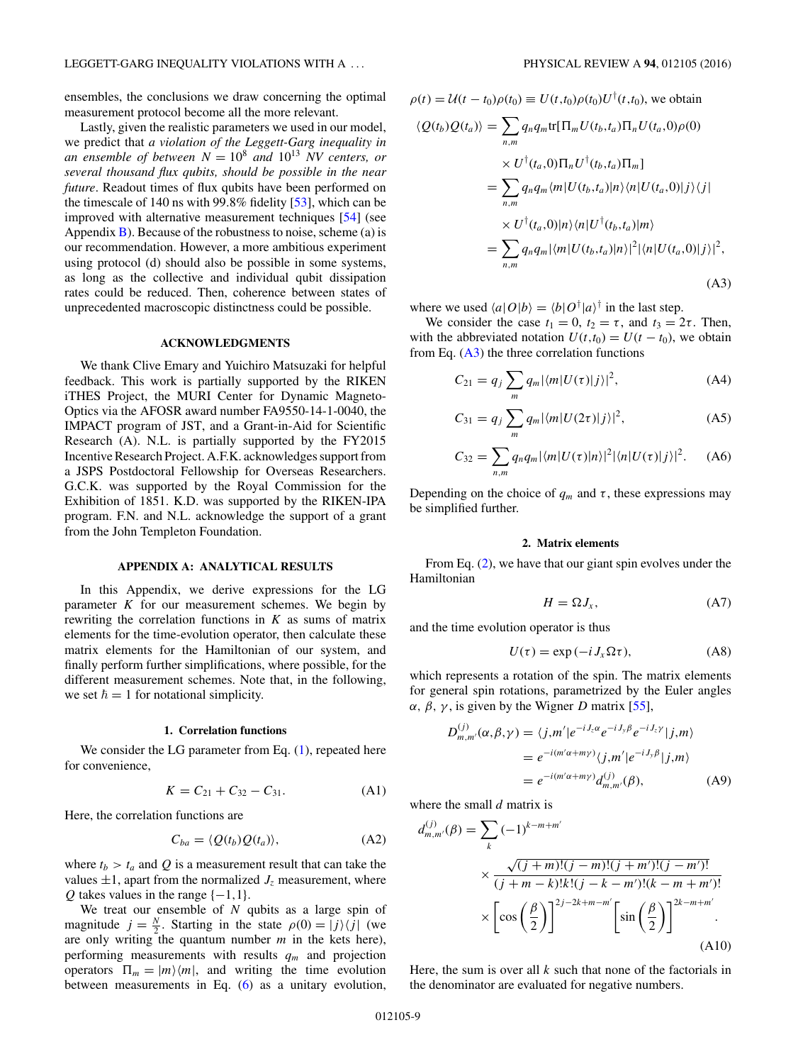<span id="page-8-0"></span>ensembles, the conclusions we draw concerning the optimal measurement protocol become all the more relevant.

Lastly, given the realistic parameters we used in our model, we predict that *a violation of the Leggett-Garg inequality in an ensemble of between*  $N = 10^8$  *and*  $10^{13}$  *NV centers, or several thousand flux qubits, should be possible in the near future*. Readout times of flux qubits have been performed on the timescale of 140 ns with 99*.*8% fidelity [\[53\]](#page-12-0), which can be improved with alternative measurement techniques [\[54\]](#page-12-0) (see Appendix  $\bf{B}$ ). Because of the robustness to noise, scheme (a) is our recommendation. However, a more ambitious experiment using protocol (d) should also be possible in some systems, as long as the collective and individual qubit dissipation rates could be reduced. Then, coherence between states of unprecedented macroscopic distinctness could be possible.

## **ACKNOWLEDGMENTS**

We thank Clive Emary and Yuichiro Matsuzaki for helpful feedback. This work is partially supported by the RIKEN iTHES Project, the MURI Center for Dynamic Magneto-Optics via the AFOSR award number FA9550-14-1-0040, the IMPACT program of JST, and a Grant-in-Aid for Scientific Research (A). N.L. is partially supported by the FY2015 Incentive Research Project. A.F.K. acknowledges support from a JSPS Postdoctoral Fellowship for Overseas Researchers. G.C.K. was supported by the Royal Commission for the Exhibition of 1851. K.D. was supported by the RIKEN-IPA program. F.N. and N.L. acknowledge the support of a grant from the John Templeton Foundation.

## **APPENDIX A: ANALYTICAL RESULTS**

In this Appendix, we derive expressions for the LG parameter *K* for our measurement schemes. We begin by rewriting the correlation functions in *K* as sums of matrix elements for the time-evolution operator, then calculate these matrix elements for the Hamiltonian of our system, and finally perform further simplifications, where possible, for the different measurement schemes. Note that, in the following, we set  $\hbar = 1$  for notational simplicity.

### **1. Correlation functions**

We consider the LG parameter from Eq.  $(1)$ , repeated here for convenience,

$$
K = C_{21} + C_{32} - C_{31}.
$$
 (A1)

Here, the correlation functions are

$$
C_{ba} = \langle Q(t_b)Q(t_a)\rangle, \tag{A2}
$$

where  $t_b > t_a$  and Q is a measurement result that can take the values  $\pm 1$ , apart from the normalized  $J_z$  measurement, where *Q* takes values in the range  $\{-1,1\}$ .

We treat our ensemble of *N* qubits as a large spin of magnitude  $j = \frac{N}{2}$ . Starting in the state  $\rho(0) = |j\rangle\langle j|$  (we are only writing the quantum number *m* in the kets here), performing measurements with results *qm* and projection operators  $\Pi_m = |m\rangle\langle m|$ , and writing the time evolution between measurements in Eq. [\(6\)](#page-3-0) as a unitary evolution,

$$
\rho(t) = U(t - t_0)\rho(t_0) \equiv U(t, t_0)\rho(t_0)U^{\dagger}(t, t_0), \text{ we obtain}
$$
  
\n
$$
\langle Q(t_b)Q(t_a) \rangle = \sum_{n,m} q_n q_m \text{tr}[\Pi_m U(t_b, t_a)\Pi_n U(t_a, 0)\rho(0)
$$
  
\n
$$
\times U^{\dagger}(t_a, 0)\Pi_n U^{\dagger}(t_b, t_a)\Pi_m]
$$
  
\n
$$
= \sum_{n,m} q_n q_m \langle m|U(t_b, t_a)|n \rangle \langle n|U(t_a, 0)|j \rangle \langle j|
$$
  
\n
$$
\times U^{\dagger}(t_a, 0)|n \rangle \langle n|U^{\dagger}(t_b, t_a)|m \rangle
$$
  
\n
$$
= \sum_{n,m} q_n q_m |\langle m|U(t_b, t_a)|n \rangle|^2 |\langle n|U(t_a, 0)|j \rangle|^2,
$$
  
\n(A3)

where we used  $\langle a|O|b\rangle = \langle b|O^{\dagger}|a\rangle^{\dagger}$  in the last step.

We consider the case  $t_1 = 0$ ,  $t_2 = \tau$ , and  $t_3 = 2\tau$ . Then, with the abbreviated notation  $U(t,t_0) = U(t - t_0)$ , we obtain from Eq.  $(A3)$  the three correlation functions

$$
C_{21} = q_j \sum_{m} q_m |\langle m| U(\tau) |j\rangle|^2, \tag{A4}
$$

$$
C_{31} = q_j \sum_{m} q_m |\langle m| U(2\tau) |j\rangle|^2, \tag{A5}
$$

$$
C_{32} = \sum_{n,m} q_n q_m |\langle m| U(\tau) |n \rangle|^2 |\langle n| U(\tau) |j \rangle|^2. \quad (A6)
$$

Depending on the choice of  $q_m$  and  $\tau$ , these expressions may be simplified further.

#### **2. Matrix elements**

From Eq. [\(2\)](#page-1-0), we have that our giant spin evolves under the Hamiltonian

$$
H = \Omega J_x,\tag{A7}
$$

and the time evolution operator is thus

$$
U(\tau) = \exp(-i J_x \Omega \tau), \tag{A8}
$$

which represents a rotation of the spin. The matrix elements for general spin rotations, parametrized by the Euler angles *α, β, γ,* is given by the Wigner *D* matrix [\[55\]](#page-12-0),

$$
D_{m,m'}^{(j)}(\alpha,\beta,\gamma) = \langle j,m'|e^{-iJ_z\alpha}e^{-iJ_y\beta}e^{-iJ_z\gamma}|j,m\rangle
$$
  
= 
$$
e^{-i(m'\alpha+m\gamma)}\langle j,m'|e^{-iJ_y\beta}|j,m\rangle
$$
  
= 
$$
e^{-i(m'\alpha+m\gamma)}d_{m,m'}^{(j)}(\beta),
$$
 (A9)

where the small *d* matrix is

$$
d_{m,m'}^{(j)}(\beta) = \sum_{k} (-1)^{k-m+m'} \times \frac{\sqrt{(j+m)!(j-m)!(j+m')!(j-m')!}}{(j+m-k)!k!(j-k-m')!(k-m+m')!} \times \left[\cos\left(\frac{\beta}{2}\right)\right]^{2j-2k+m-m'} \left[\sin\left(\frac{\beta}{2}\right)\right]^{2k-m+m'} .
$$
\n(A10)

Here, the sum is over all *k* such that none of the factorials in the denominator are evaluated for negative numbers.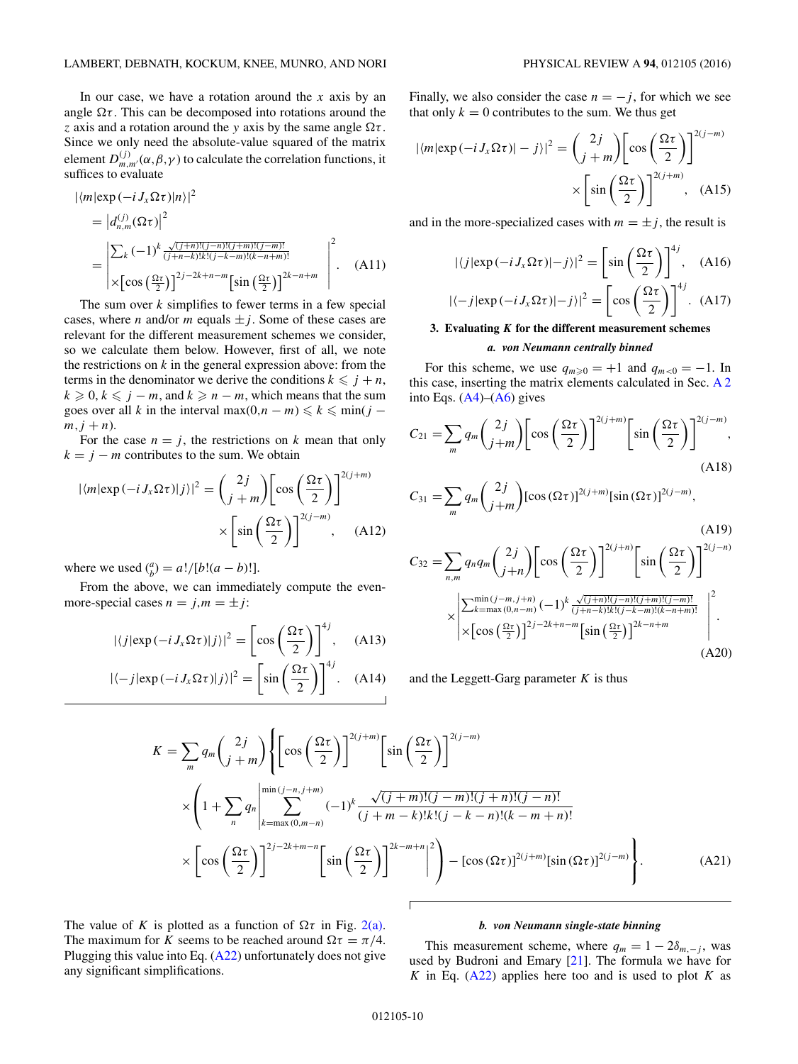In our case, we have a rotation around the *x* axis by an angle  $\Omega \tau$ . This can be decomposed into rotations around the *z* axis and a rotation around the *y* axis by the same angle *τ* . Since we only need the absolute-value squared of the matrix element  $D_{m,m'}^{(j)}(\alpha,\beta,\gamma)$  to calculate the correlation functions, it suffices to evaluate

$$
\begin{split} |\langle m|\exp\left(-i\,J_{x}\Omega\tau\right)|n\rangle|^{2} \\ &= \left|d_{n,m}^{(j)}(\Omega\tau)\right|^{2} \\ &= \left|\sum_{k}(-1)^{k}\frac{\sqrt{(j+n)!(j-n)!(j+m)!(j-m)!}}{(j+n-k)!k!(j-k-m)!(k-n+m)!} \right|^{2} \\ &\times\left[\cos\left(\frac{\Omega\tau}{2}\right)\right]^{2j-2k+n-m}\left[\sin\left(\frac{\Omega\tau}{2}\right)\right]^{2k-n+m} \end{split} \tag{A11}
$$

The sum over *k* simplifies to fewer terms in a few special cases, where *n* and/or *m* equals  $\pm j$ . Some of these cases are relevant for the different measurement schemes we consider, so we calculate them below. However, first of all, we note the restrictions on  $k$  in the general expression above: from the terms in the denominator we derive the conditions  $k \leq j + n$ ,  $k \geq 0, k \leq j - m$ , and  $k \geq n - m$ , which means that the sum goes over all *k* in the interval max $(0, n - m) \le k \le \min(j - m)$  $m, j + n$ ).

For the case  $n = j$ , the restrictions on k mean that only  $k = j - m$  contributes to the sum. We obtain

$$
|\langle m|\exp\left(-i J_x \Omega \tau\right)|j\rangle|^2 = \binom{2j}{j+m} \left[\cos\left(\frac{\Omega \tau}{2}\right)\right]^{2(j+m)} \times \left[\sin\left(\frac{\Omega \tau}{2}\right)\right]^{2(j-m)}, \quad \text{(A12)}
$$

where we used  $\binom{a}{b} = a!/[b!(a-b)!]$ .

From the above, we can immediately compute the evenmore-special cases  $n = j, m = \pm j$ :

$$
|\langle j|\exp(-i J_x \Omega \tau)|j\rangle|^2 = \left[\cos\left(\frac{\Omega \tau}{2}\right)\right]^{4j}, \quad \text{(A13)}
$$

$$
|\langle -j|\exp(-i J_x \Omega \tau)|j\rangle|^2 = \left[\sin\left(\frac{\Omega \tau}{2}\right)\right]^{4j}.
$$
(A14)

Finally, we also consider the case  $n = -j$ , for which we see that only  $k = 0$  contributes to the sum. We thus get

$$
|\langle m|\exp(-i J_x \Omega \tau)| - j \rangle|^2 = \binom{2j}{j+m} \left[ \cos\left(\frac{\Omega \tau}{2}\right) \right]^{2(j-m)} \times \left[ \sin\left(\frac{\Omega \tau}{2}\right) \right]^{2(j+m)}, \quad \text{(A15)}
$$

and in the more-specialized cases with  $m = \pm j$ , the result is

$$
|\langle j|\exp(-i J_x \Omega \tau)| - j \rangle|^2 = \left[\sin\left(\frac{\Omega \tau}{2}\right)\right]^{4j}, \quad \text{(A16)}
$$

$$
|\langle -j|\exp(-i J_x \Omega \tau)| - j \rangle|^2 = \left[\cos\left(\frac{\Omega \tau}{2}\right)\right]^{4j}.
$$
(A17)

### **3. Evaluating** *K* **for the different measurement schemes**

#### *a. von Neumann centrally binned*

For this scheme, we use  $q_{m\geqslant0} = +1$  and  $q_{m<0} = -1$ . In this case, inserting the matrix elements calculated in Sec. [A 2](#page-8-0) into Eqs.  $(A4)$ – $(A6)$  gives

$$
C_{21} = \sum_{m} q_m \binom{2j}{j+m} \left[ \cos \left( \frac{\Omega \tau}{2} \right) \right]^{2(j+m)} \left[ \sin \left( \frac{\Omega \tau}{2} \right) \right]^{2(j-m)},
$$
\n(A18)\n
$$
C_{31} = \sum_{m} q_m \binom{2j}{j+m} \left[ \cos \left( \Omega \tau \right) \right]^{2(j+m)} \left[ \sin \left( \Omega \tau \right) \right]^{2(j-m)},
$$
\n(A19)

$$
C_{32} = \sum_{n,m} q_n q_m \binom{2j}{j+n} \left[ \cos \left( \frac{\Omega \tau}{2} \right) \right]^{2(j+n)} \left[ \sin \left( \frac{\Omega \tau}{2} \right) \right]^{2(j-n)}
$$

$$
\times \left| \frac{\sum_{k=\max(0,n-m)}^{\min(j-m,j+n)} (-1)^k \frac{\sqrt{(j+n)!(j-n)!(j+m)!(j-m)!}}{(j+n-k)!k!(j-k-m)!(k-n+m)!}}{\times \left[ \cos \left( \frac{\Omega \tau}{2} \right) \right]^{2j-2k+n-m} \left[ \sin \left( \frac{\Omega \tau}{2} \right) \right]^{2k-n+m}} \right|^2.
$$
(A20)

and the Leggett-Garg parameter *K* is thus

$$
K = \sum_{m} q_{m} {2j \choose j+m} \left\{ \left[ \cos \left( \frac{\Omega \tau}{2} \right) \right]^{2(j+m)} \left[ \sin \left( \frac{\Omega \tau}{2} \right) \right]^{2(j-m)} \right\}
$$

$$
\times \left( 1 + \sum_{n} q_{n} \left| \sum_{k=\max(0,m-n)}^{\min(j-n,j+m)} (-1)^{k} \frac{\sqrt{(j+m)!(j-m)!(j+n)!(j-n)!}}{(j+m-k)!k!(j-k-n)!(k-m+n)!} \right|
$$

$$
\times \left[ \cos \left( \frac{\Omega \tau}{2} \right) \right]^{2j-2k+m-n} \left[ \sin \left( \frac{\Omega \tau}{2} \right) \right]^{2k-m+n} \left|^{2} \right] - \left[ \cos (\Omega \tau) \right]^{2(j+m)} \left[ \sin (\Omega \tau) \right]^{2(j-m)} \right\}.
$$
(A21)

The value of *K* is plotted as a function of  $\Omega \tau$  in Fig. [2\(a\).](#page-3-0) The maximum for *K* seems to be reached around  $\Omega \tau = \pi/4$ . Plugging this value into Eq. [\(A22\)](#page-10-0) unfortunately does not give any significant simplifications.

### *b. von Neumann single-state binning*

This measurement scheme, where  $q_m = 1 - 2\delta_{m,-i}$ , was used by Budroni and Emary [\[21\]](#page-11-0). The formula we have for *K* in Eq. [\(A22\)](#page-10-0) applies here too and is used to plot *K* as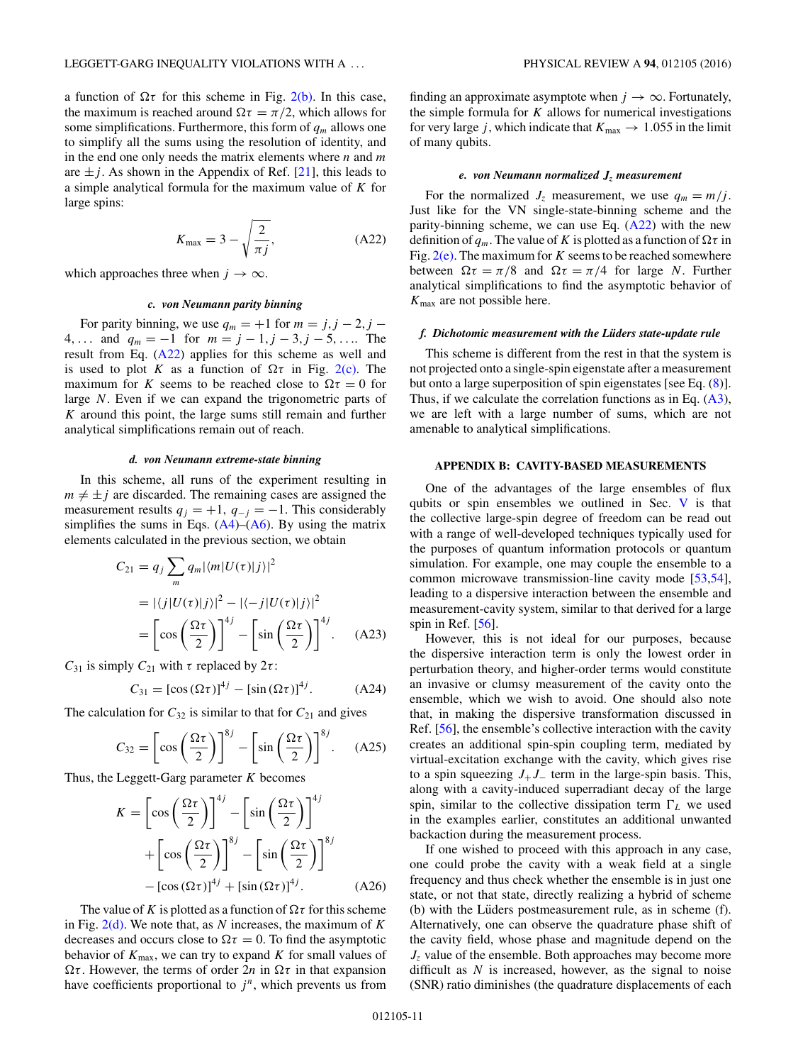<span id="page-10-0"></span>a function of  $\Omega \tau$  for this scheme in Fig. [2\(b\).](#page-3-0) In this case, the maximum is reached around  $\Omega \tau = \pi/2$ , which allows for some simplifications. Furthermore, this form of  $q_m$  allows one to simplify all the sums using the resolution of identity, and in the end one only needs the matrix elements where *n* and *m* are  $\pm j$ . As shown in the Appendix of Ref. [\[21\]](#page-11-0), this leads to a simple analytical formula for the maximum value of *K* for large spins:

$$
K_{\text{max}} = 3 - \sqrt{\frac{2}{\pi j}},\tag{A22}
$$

which approaches three when  $j \to \infty$ .

### *c. von Neumann parity binning*

For parity binning, we use  $q_m = +1$  for  $m = j, j - 2, j - 1$ 4*,...* and *qm* = −1 for *m* = *j* − 1*,j* − 3*,j* − 5*,...*. The result from Eq. (A22) applies for this scheme as well and is used to plot *K* as a function of  $\Omega \tau$  in Fig. [2\(c\).](#page-3-0) The maximum for *K* seems to be reached close to  $\Omega \tau = 0$  for large *N*. Even if we can expand the trigonometric parts of *K* around this point, the large sums still remain and further analytical simplifications remain out of reach.

#### *d. von Neumann extreme-state binning*

In this scheme, all runs of the experiment resulting in  $m \neq \pm j$  are discarded. The remaining cases are assigned the measurement results  $q_j = +1$ ,  $q_{-j} = -1$ . This considerably simplifies the sums in Eqs.  $(A4)$ – $(A6)$ . By using the matrix elements calculated in the previous section, we obtain

$$
C_{21} = q_j \sum_{m} q_m |\langle m| U(\tau) |j\rangle|^2
$$
  
=  $|\langle j| U(\tau) |j\rangle|^2 - |\langle -j| U(\tau) |j\rangle|^2$   
=  $\left[\cos\left(\frac{\Omega \tau}{2}\right)\right]^{4j} - \left[\sin\left(\frac{\Omega \tau}{2}\right)\right]^{4j}$ . (A23)

*C*<sub>31</sub> is simply *C*<sub>21</sub> with *τ* replaced by 2*τ* :

$$
C_{31} = [\cos(\Omega \tau)]^{4j} - [\sin(\Omega \tau)]^{4j}.
$$
 (A24)

The calculation for  $C_{32}$  is similar to that for  $C_{21}$  and gives

$$
C_{32} = \left[\cos\left(\frac{\Omega\tau}{2}\right)\right]^{8j} - \left[\sin\left(\frac{\Omega\tau}{2}\right)\right]^{8j}.\tag{A25}
$$

Thus, the Leggett-Garg parameter *K* becomes

$$
K = \left[\cos\left(\frac{\Omega\tau}{2}\right)\right]^{4j} - \left[\sin\left(\frac{\Omega\tau}{2}\right)\right]^{4j} + \left[\cos\left(\frac{\Omega\tau}{2}\right)\right]^{8j} - \left[\sin\left(\frac{\Omega\tau}{2}\right)\right]^{8j} - \left[\cos(\Omega\tau)\right]^{4j} + \left[\sin(\Omega\tau)\right]^{4j}.
$$
 (A26)

The value of *K* is plotted as a function of  $\Omega \tau$  for this scheme in Fig. [2\(d\).](#page-3-0) We note that, as *N* increases, the maximum of *K* decreases and occurs close to  $\Omega \tau = 0$ . To find the asymptotic behavior of  $K_{\text{max}}$ , we can try to expand  $K$  for small values of  $Ωτ$ . However, the terms of order  $2n$  in  $Ωτ$  in that expansion have coefficients proportional to  $j<sup>n</sup>$ , which prevents us from finding an approximate asymptote when  $j \to \infty$ . Fortunately, the simple formula for  $K$  allows for numerical investigations for very large *j*, which indicate that  $K_{\text{max}} \rightarrow 1.055$  in the limit of many qubits.

#### *e. von Neumann normalized Jz measurement*

For the normalized  $J_z$  measurement, we use  $q_m = m/j$ . Just like for the VN single-state-binning scheme and the parity-binning scheme, we can use Eq.  $(A22)$  with the new definition of  $q_m$ . The value of *K* is plotted as a function of  $\Omega \tau$  in Fig.  $2(e)$ . The maximum for *K* seems to be reached somewhere between  $\Omega \tau = \pi/8$  and  $\Omega \tau = \pi/4$  for large *N*. Further analytical simplifications to find the asymptotic behavior of *K*max are not possible here.

# *f. Dichotomic measurement with the Lüders state-update rule*

This scheme is different from the rest in that the system is not projected onto a single-spin eigenstate after a measurement but onto a large superposition of spin eigenstates [see Eq. [\(8\)](#page-6-0)]. Thus, if we calculate the correlation functions as in Eq. [\(A3\)](#page-8-0), we are left with a large number of sums, which are not amenable to analytical simplifications.

### **APPENDIX B: CAVITY-BASED MEASUREMENTS**

One of the advantages of the large ensembles of flux qubits or spin ensembles we outlined in Sec. [V](#page-7-0) is that the collective large-spin degree of freedom can be read out with a range of well-developed techniques typically used for the purposes of quantum information protocols or quantum simulation. For example, one may couple the ensemble to a common microwave transmission-line cavity mode [\[53,54\]](#page-12-0), leading to a dispersive interaction between the ensemble and measurement-cavity system, similar to that derived for a large spin in Ref. [\[56\]](#page-12-0).

However, this is not ideal for our purposes, because the dispersive interaction term is only the lowest order in perturbation theory, and higher-order terms would constitute an invasive or clumsy measurement of the cavity onto the ensemble, which we wish to avoid. One should also note that, in making the dispersive transformation discussed in Ref. [\[56\]](#page-12-0), the ensemble's collective interaction with the cavity creates an additional spin-spin coupling term, mediated by virtual-excitation exchange with the cavity, which gives rise to a spin squeezing  $J_+J_-$  term in the large-spin basis. This, along with a cavity-induced superradiant decay of the large spin, similar to the collective dissipation term  $\Gamma_L$  we used in the examples earlier, constitutes an additional unwanted backaction during the measurement process.

If one wished to proceed with this approach in any case, one could probe the cavity with a weak field at a single frequency and thus check whether the ensemble is in just one state, or not that state, directly realizing a hybrid of scheme (b) with the Lüders postmeasurement rule, as in scheme  $(f)$ . Alternatively, one can observe the quadrature phase shift of the cavity field, whose phase and magnitude depend on the *Jz* value of the ensemble. Both approaches may become more difficult as *N* is increased, however, as the signal to noise (SNR) ratio diminishes (the quadrature displacements of each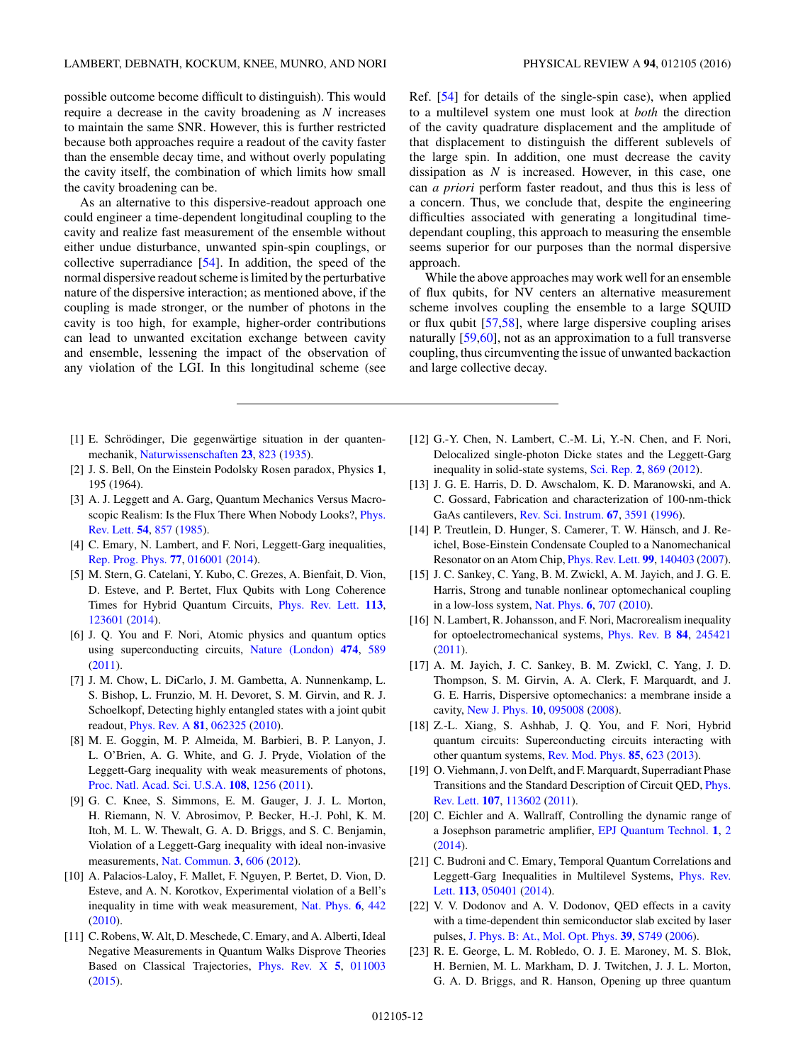<span id="page-11-0"></span>possible outcome become difficult to distinguish). This would require a decrease in the cavity broadening as *N* increases to maintain the same SNR. However, this is further restricted because both approaches require a readout of the cavity faster than the ensemble decay time, and without overly populating the cavity itself, the combination of which limits how small the cavity broadening can be.

As an alternative to this dispersive-readout approach one could engineer a time-dependent longitudinal coupling to the cavity and realize fast measurement of the ensemble without either undue disturbance, unwanted spin-spin couplings, or collective superradiance [\[54\]](#page-12-0). In addition, the speed of the normal dispersive readout scheme is limited by the perturbative nature of the dispersive interaction; as mentioned above, if the coupling is made stronger, or the number of photons in the cavity is too high, for example, higher-order contributions can lead to unwanted excitation exchange between cavity and ensemble, lessening the impact of the observation of any violation of the LGI. In this longitudinal scheme (see

- [1] E. Schrödinger, Die gegenwärtige situation in der quantenmechanik, [Naturwissenschaften](http://dx.doi.org/10.1007/BF01491914) **[23](http://dx.doi.org/10.1007/BF01491914)**, [823](http://dx.doi.org/10.1007/BF01491914) [\(1935\)](http://dx.doi.org/10.1007/BF01491914).
- [2] J. S. Bell, On the Einstein Podolsky Rosen paradox, Physics **1**, 195 (1964).
- [3] A. J. Leggett and A. Garg, Quantum Mechanics Versus Macro[scopic Realism: Is the Flux There When Nobody Looks?,](http://dx.doi.org/10.1103/PhysRevLett.54.857) Phys. Rev. Lett. **[54](http://dx.doi.org/10.1103/PhysRevLett.54.857)**, [857](http://dx.doi.org/10.1103/PhysRevLett.54.857) [\(1985\)](http://dx.doi.org/10.1103/PhysRevLett.54.857).
- [4] C. Emary, N. Lambert, and F. Nori, Leggett-Garg inequalities, [Rep. Prog. Phys.](http://dx.doi.org/10.1088/0034-4885/77/1/016001) **[77](http://dx.doi.org/10.1088/0034-4885/77/1/016001)**, [016001](http://dx.doi.org/10.1088/0034-4885/77/1/016001) [\(2014\)](http://dx.doi.org/10.1088/0034-4885/77/1/016001).
- [5] M. Stern, G. Catelani, Y. Kubo, C. Grezes, A. Bienfait, D. Vion, D. Esteve, and P. Bertet, Flux Qubits with Long Coherence Times for Hybrid Quantum Circuits, [Phys. Rev. Lett.](http://dx.doi.org/10.1103/PhysRevLett.113.123601) **[113](http://dx.doi.org/10.1103/PhysRevLett.113.123601)**, [123601](http://dx.doi.org/10.1103/PhysRevLett.113.123601) [\(2014\)](http://dx.doi.org/10.1103/PhysRevLett.113.123601).
- [6] J. Q. You and F. Nori, Atomic physics and quantum optics using superconducting circuits, [Nature \(London\)](http://dx.doi.org/10.1038/nature10122) **[474](http://dx.doi.org/10.1038/nature10122)**, [589](http://dx.doi.org/10.1038/nature10122) [\(2011\)](http://dx.doi.org/10.1038/nature10122).
- [7] J. M. Chow, L. DiCarlo, J. M. Gambetta, A. Nunnenkamp, L. S. Bishop, L. Frunzio, M. H. Devoret, S. M. Girvin, and R. J. Schoelkopf, Detecting highly entangled states with a joint qubit readout, [Phys. Rev. A](http://dx.doi.org/10.1103/PhysRevA.81.062325) **[81](http://dx.doi.org/10.1103/PhysRevA.81.062325)**, [062325](http://dx.doi.org/10.1103/PhysRevA.81.062325) [\(2010\)](http://dx.doi.org/10.1103/PhysRevA.81.062325).
- [8] M. E. Goggin, M. P. Almeida, M. Barbieri, B. P. Lanyon, J. L. O'Brien, A. G. White, and G. J. Pryde, Violation of the Leggett-Garg inequality with weak measurements of photons, [Proc. Natl. Acad. Sci. U.S.A.](http://dx.doi.org/10.1073/pnas.1005774108) **[108](http://dx.doi.org/10.1073/pnas.1005774108)**, [1256](http://dx.doi.org/10.1073/pnas.1005774108) [\(2011\)](http://dx.doi.org/10.1073/pnas.1005774108).
- [9] G. C. Knee, S. Simmons, E. M. Gauger, J. J. L. Morton, H. Riemann, N. V. Abrosimov, P. Becker, H.-J. Pohl, K. M. Itoh, M. L. W. Thewalt, G. A. D. Briggs, and S. C. Benjamin, Violation of a Leggett-Garg inequality with ideal non-invasive measurements, [Nat. Commun.](http://dx.doi.org/10.1038/ncomms1614) **[3](http://dx.doi.org/10.1038/ncomms1614)**, [606](http://dx.doi.org/10.1038/ncomms1614) [\(2012\)](http://dx.doi.org/10.1038/ncomms1614).
- [10] A. Palacios-Laloy, F. Mallet, F. Nguyen, P. Bertet, D. Vion, D. Esteve, and A. N. Korotkov, Experimental violation of a Bell's inequality in time with weak measurement, [Nat. Phys.](http://dx.doi.org/10.1038/nphys1641) **[6](http://dx.doi.org/10.1038/nphys1641)**, [442](http://dx.doi.org/10.1038/nphys1641) [\(2010\)](http://dx.doi.org/10.1038/nphys1641).
- [11] C. Robens, W. Alt, D. Meschede, C. Emary, and A. Alberti, Ideal Negative Measurements in Quantum Walks Disprove Theories Based on Classical Trajectories, [Phys. Rev. X](http://dx.doi.org/10.1103/PhysRevX.5.011003) **[5](http://dx.doi.org/10.1103/PhysRevX.5.011003)**, [011003](http://dx.doi.org/10.1103/PhysRevX.5.011003) [\(2015\)](http://dx.doi.org/10.1103/PhysRevX.5.011003).

Ref. [\[54\]](#page-12-0) for details of the single-spin case), when applied to a multilevel system one must look at *both* the direction of the cavity quadrature displacement and the amplitude of that displacement to distinguish the different sublevels of the large spin. In addition, one must decrease the cavity dissipation as *N* is increased. However, in this case, one can *a priori* perform faster readout, and thus this is less of a concern. Thus, we conclude that, despite the engineering difficulties associated with generating a longitudinal timedependant coupling, this approach to measuring the ensemble seems superior for our purposes than the normal dispersive approach.

While the above approaches may work well for an ensemble of flux qubits, for NV centers an alternative measurement scheme involves coupling the ensemble to a large SQUID or flux qubit [\[57](#page-12-0)[,58\]](#page-13-0), where large dispersive coupling arises naturally [\[59,60\]](#page-13-0), not as an approximation to a full transverse coupling, thus circumventing the issue of unwanted backaction and large collective decay.

- [12] G.-Y. Chen, N. Lambert, C.-M. Li, Y.-N. Chen, and F. Nori, Delocalized single-photon Dicke states and the Leggett-Garg inequality in solid-state systems, [Sci. Rep.](http://dx.doi.org/10.1038/srep00869) **[2](http://dx.doi.org/10.1038/srep00869)**, [869](http://dx.doi.org/10.1038/srep00869) [\(2012\)](http://dx.doi.org/10.1038/srep00869).
- [13] J. G. E. Harris, D. D. Awschalom, K. D. Maranowski, and A. C. Gossard, Fabrication and characterization of 100-nm-thick GaAs cantilevers, [Rev. Sci. Instrum.](http://dx.doi.org/10.1063/1.1147250) **[67](http://dx.doi.org/10.1063/1.1147250)**, [3591](http://dx.doi.org/10.1063/1.1147250) [\(1996\)](http://dx.doi.org/10.1063/1.1147250).
- [14] P. Treutlein, D. Hunger, S. Camerer, T. W. Hänsch, and J. Reichel, Bose-Einstein Condensate Coupled to a Nanomechanical Resonator on an Atom Chip, [Phys. Rev. Lett.](http://dx.doi.org/10.1103/PhysRevLett.99.140403) **[99](http://dx.doi.org/10.1103/PhysRevLett.99.140403)**, [140403](http://dx.doi.org/10.1103/PhysRevLett.99.140403) [\(2007\)](http://dx.doi.org/10.1103/PhysRevLett.99.140403).
- [15] J. C. Sankey, C. Yang, B. M. Zwickl, A. M. Jayich, and J. G. E. Harris, Strong and tunable nonlinear optomechanical coupling in a low-loss system, [Nat. Phys.](http://dx.doi.org/10.1038/nphys1707) **[6](http://dx.doi.org/10.1038/nphys1707)**, [707](http://dx.doi.org/10.1038/nphys1707) [\(2010\)](http://dx.doi.org/10.1038/nphys1707).
- [16] N. Lambert, R. Johansson, and F. Nori, Macrorealism inequality for optoelectromechanical systems, [Phys. Rev. B](http://dx.doi.org/10.1103/PhysRevB.84.245421) **[84](http://dx.doi.org/10.1103/PhysRevB.84.245421)**, [245421](http://dx.doi.org/10.1103/PhysRevB.84.245421) [\(2011\)](http://dx.doi.org/10.1103/PhysRevB.84.245421).
- [17] A. M. Jayich, J. C. Sankey, B. M. Zwickl, C. Yang, J. D. Thompson, S. M. Girvin, A. A. Clerk, F. Marquardt, and J. G. E. Harris, Dispersive optomechanics: a membrane inside a cavity, [New J. Phys.](http://dx.doi.org/10.1088/1367-2630/10/9/095008) **[10](http://dx.doi.org/10.1088/1367-2630/10/9/095008)**, [095008](http://dx.doi.org/10.1088/1367-2630/10/9/095008) [\(2008\)](http://dx.doi.org/10.1088/1367-2630/10/9/095008).
- [18] Z.-L. Xiang, S. Ashhab, J. Q. You, and F. Nori, Hybrid quantum circuits: Superconducting circuits interacting with other quantum systems, [Rev. Mod. Phys.](http://dx.doi.org/10.1103/RevModPhys.85.623) **[85](http://dx.doi.org/10.1103/RevModPhys.85.623)**, [623](http://dx.doi.org/10.1103/RevModPhys.85.623) [\(2013\)](http://dx.doi.org/10.1103/RevModPhys.85.623).
- [19] O. Viehmann, J. von Delft, and F. Marquardt, Superradiant Phase [Transitions and the Standard Description of Circuit QED,](http://dx.doi.org/10.1103/PhysRevLett.107.113602) Phys. Rev. Lett. **[107](http://dx.doi.org/10.1103/PhysRevLett.107.113602)**, [113602](http://dx.doi.org/10.1103/PhysRevLett.107.113602) [\(2011\)](http://dx.doi.org/10.1103/PhysRevLett.107.113602).
- [20] C. Eichler and A. Wallraff, Controlling the dynamic range of a Josephson parametric amplifier, [EPJ Quantum Technol.](http://dx.doi.org/10.1140/epjqt2) **[1](http://dx.doi.org/10.1140/epjqt2)**, [2](http://dx.doi.org/10.1140/epjqt2) [\(2014\)](http://dx.doi.org/10.1140/epjqt2).
- [21] C. Budroni and C. Emary, Temporal Quantum Correlations and [Leggett-Garg Inequalities in Multilevel Systems,](http://dx.doi.org/10.1103/PhysRevLett.113.050401) Phys. Rev. Lett. **[113](http://dx.doi.org/10.1103/PhysRevLett.113.050401)**, [050401](http://dx.doi.org/10.1103/PhysRevLett.113.050401) [\(2014\)](http://dx.doi.org/10.1103/PhysRevLett.113.050401).
- [22] V. V. Dodonov and A. V. Dodonov, QED effects in a cavity with a time-dependent thin semiconductor slab excited by laser pulses, [J. Phys. B: At., Mol. Opt. Phys.](http://dx.doi.org/10.1088/0953-4075/39/15/S20) **[39](http://dx.doi.org/10.1088/0953-4075/39/15/S20)**, [S749](http://dx.doi.org/10.1088/0953-4075/39/15/S20) [\(2006\)](http://dx.doi.org/10.1088/0953-4075/39/15/S20).
- [23] R. E. George, L. M. Robledo, O. J. E. Maroney, M. S. Blok, H. Bernien, M. L. Markham, D. J. Twitchen, J. J. L. Morton, G. A. D. Briggs, and R. Hanson, Opening up three quantum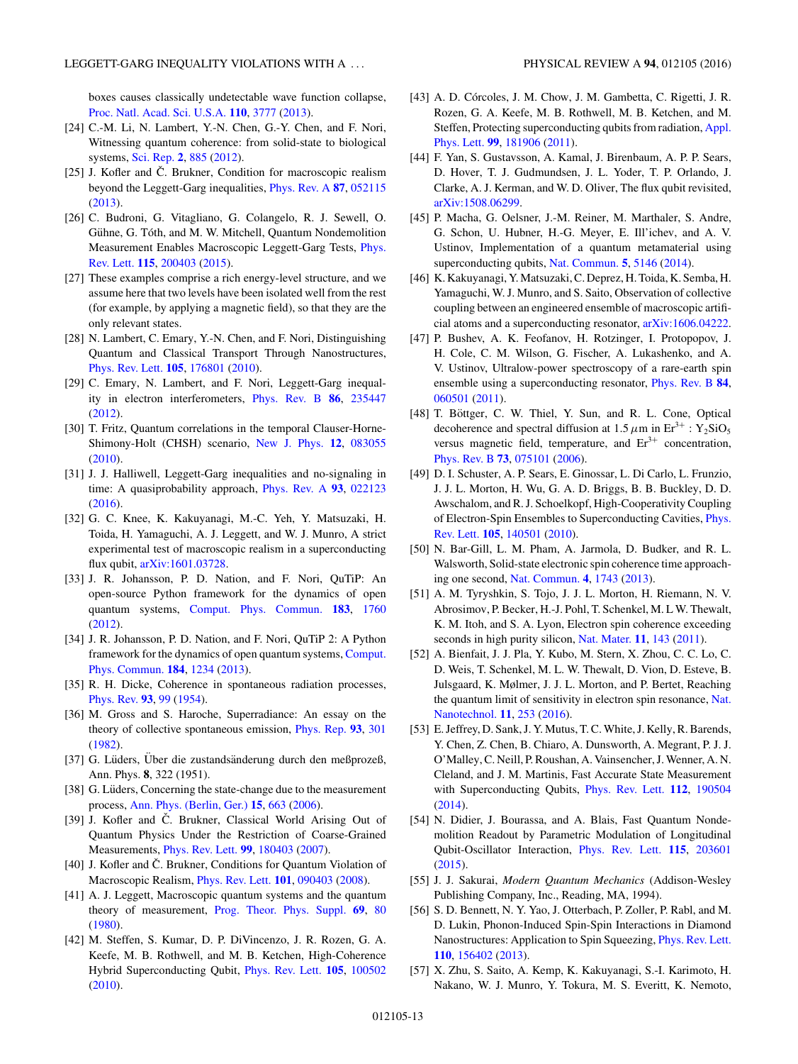<span id="page-12-0"></span>boxes causes classically undetectable wave function collapse, [Proc. Natl. Acad. Sci. U.S.A.](http://dx.doi.org/10.1073/pnas.1208374110) **[110](http://dx.doi.org/10.1073/pnas.1208374110)**, [3777](http://dx.doi.org/10.1073/pnas.1208374110) [\(2013\)](http://dx.doi.org/10.1073/pnas.1208374110).

- [24] C.-M. Li, N. Lambert, Y.-N. Chen, G.-Y. Chen, and F. Nori, Witnessing quantum coherence: from solid-state to biological systems, [Sci. Rep.](http://dx.doi.org/10.1038/srep00885) **[2](http://dx.doi.org/10.1038/srep00885)**, [885](http://dx.doi.org/10.1038/srep00885) [\(2012\)](http://dx.doi.org/10.1038/srep00885).
- [25] J. Kofler and  $\check{C}$ . Brukner, Condition for macroscopic realism beyond the Leggett-Garg inequalities, [Phys. Rev. A](http://dx.doi.org/10.1103/PhysRevA.87.052115) **[87](http://dx.doi.org/10.1103/PhysRevA.87.052115)**, [052115](http://dx.doi.org/10.1103/PhysRevA.87.052115) [\(2013\)](http://dx.doi.org/10.1103/PhysRevA.87.052115).
- [26] C. Budroni, G. Vitagliano, G. Colangelo, R. J. Sewell, O. Gühne, G. Tóth, and M. W. Mitchell, Quantum Nondemolition [Measurement Enables Macroscopic Leggett-Garg Tests,](http://dx.doi.org/10.1103/PhysRevLett.115.200403) Phys. Rev. Lett. **[115](http://dx.doi.org/10.1103/PhysRevLett.115.200403)**, [200403](http://dx.doi.org/10.1103/PhysRevLett.115.200403) [\(2015\)](http://dx.doi.org/10.1103/PhysRevLett.115.200403).
- [27] These examples comprise a rich energy-level structure, and we assume here that two levels have been isolated well from the rest (for example, by applying a magnetic field), so that they are the only relevant states.
- [28] N. Lambert, C. Emary, Y.-N. Chen, and F. Nori, Distinguishing Quantum and Classical Transport Through Nanostructures, [Phys. Rev. Lett.](http://dx.doi.org/10.1103/PhysRevLett.105.176801) **[105](http://dx.doi.org/10.1103/PhysRevLett.105.176801)**, [176801](http://dx.doi.org/10.1103/PhysRevLett.105.176801) [\(2010\)](http://dx.doi.org/10.1103/PhysRevLett.105.176801).
- [29] C. Emary, N. Lambert, and F. Nori, Leggett-Garg inequality in electron interferometers, [Phys. Rev. B](http://dx.doi.org/10.1103/PhysRevB.86.235447) **[86](http://dx.doi.org/10.1103/PhysRevB.86.235447)**, [235447](http://dx.doi.org/10.1103/PhysRevB.86.235447) [\(2012\)](http://dx.doi.org/10.1103/PhysRevB.86.235447).
- [30] T. Fritz, Quantum correlations in the temporal Clauser-Horne-Shimony-Holt (CHSH) scenario, [New J. Phys.](http://dx.doi.org/10.1088/1367-2630/12/8/083055) **[12](http://dx.doi.org/10.1088/1367-2630/12/8/083055)**, [083055](http://dx.doi.org/10.1088/1367-2630/12/8/083055) [\(2010\)](http://dx.doi.org/10.1088/1367-2630/12/8/083055).
- [31] J. J. Halliwell, Leggett-Garg inequalities and no-signaling in time: A quasiprobability approach, [Phys. Rev. A](http://dx.doi.org/10.1103/PhysRevA.93.022123) **[93](http://dx.doi.org/10.1103/PhysRevA.93.022123)**, [022123](http://dx.doi.org/10.1103/PhysRevA.93.022123) [\(2016\)](http://dx.doi.org/10.1103/PhysRevA.93.022123).
- [32] G. C. Knee, K. Kakuyanagi, M.-C. Yeh, Y. Matsuzaki, H. Toida, H. Yamaguchi, A. J. Leggett, and W. J. Munro, A strict experimental test of macroscopic realism in a superconducting flux qubit, [arXiv:1601.03728.](http://arxiv.org/abs/arXiv:1601.03728)
- [33] J. R. Johansson, P. D. Nation, and F. Nori, QuTiP: An open-source Python framework for the dynamics of open quantum systems, [Comput. Phys. Commun.](http://dx.doi.org/10.1016/j.cpc.2012.02.021) **[183](http://dx.doi.org/10.1016/j.cpc.2012.02.021)**, [1760](http://dx.doi.org/10.1016/j.cpc.2012.02.021) [\(2012\)](http://dx.doi.org/10.1016/j.cpc.2012.02.021).
- [34] J. R. Johansson, P. D. Nation, and F. Nori, QuTiP 2: A Python [framework for the dynamics of open quantum systems,](http://dx.doi.org/10.1016/j.cpc.2012.11.019) Comput. Phys. Commun. **[184](http://dx.doi.org/10.1016/j.cpc.2012.11.019)**, [1234](http://dx.doi.org/10.1016/j.cpc.2012.11.019) [\(2013\)](http://dx.doi.org/10.1016/j.cpc.2012.11.019).
- [35] R. H. Dicke, Coherence in spontaneous radiation processes, [Phys. Rev.](http://dx.doi.org/10.1103/PhysRev.93.99) **[93](http://dx.doi.org/10.1103/PhysRev.93.99)**, [99](http://dx.doi.org/10.1103/PhysRev.93.99) [\(1954\)](http://dx.doi.org/10.1103/PhysRev.93.99).
- [36] M. Gross and S. Haroche, Superradiance: An essay on the theory of collective spontaneous emission, [Phys. Rep.](http://dx.doi.org/10.1016/0370-1573(82)90102-8) **[93](http://dx.doi.org/10.1016/0370-1573(82)90102-8)**, [301](http://dx.doi.org/10.1016/0370-1573(82)90102-8) [\(1982\)](http://dx.doi.org/10.1016/0370-1573(82)90102-8).
- [37] G. Lüders, Über die zustandsänderung durch den meßprozeß, Ann. Phys. **8**, 322 (1951).
- [38] G. Lüders, Concerning the state-change due to the measurement process, [Ann. Phys. \(Berlin, Ger.\)](http://dx.doi.org/10.1002/andp.200610207) **[15](http://dx.doi.org/10.1002/andp.200610207)**, [663](http://dx.doi.org/10.1002/andp.200610207) [\(2006\)](http://dx.doi.org/10.1002/andp.200610207).
- [39] J. Kofler and Č. Brukner, Classical World Arising Out of Quantum Physics Under the Restriction of Coarse-Grained Measurements, [Phys. Rev. Lett.](http://dx.doi.org/10.1103/PhysRevLett.99.180403) **[99](http://dx.doi.org/10.1103/PhysRevLett.99.180403)**, [180403](http://dx.doi.org/10.1103/PhysRevLett.99.180403) [\(2007\)](http://dx.doi.org/10.1103/PhysRevLett.99.180403).
- [40] J. Kofler and C. Brukner, Conditions for Quantum Violation of Macroscopic Realism, [Phys. Rev. Lett.](http://dx.doi.org/10.1103/PhysRevLett.101.090403) **[101](http://dx.doi.org/10.1103/PhysRevLett.101.090403)**, [090403](http://dx.doi.org/10.1103/PhysRevLett.101.090403) [\(2008\)](http://dx.doi.org/10.1103/PhysRevLett.101.090403).
- [41] A. J. Leggett, Macroscopic quantum systems and the quantum theory of measurement, [Prog. Theor. Phys. Suppl.](http://dx.doi.org/10.1143/PTPS.69.80) **[69](http://dx.doi.org/10.1143/PTPS.69.80)**, [80](http://dx.doi.org/10.1143/PTPS.69.80) [\(1980\)](http://dx.doi.org/10.1143/PTPS.69.80).
- [42] M. Steffen, S. Kumar, D. P. DiVincenzo, J. R. Rozen, G. A. Keefe, M. B. Rothwell, and M. B. Ketchen, High-Coherence Hybrid Superconducting Qubit, [Phys. Rev. Lett.](http://dx.doi.org/10.1103/PhysRevLett.105.100502) **[105](http://dx.doi.org/10.1103/PhysRevLett.105.100502)**, [100502](http://dx.doi.org/10.1103/PhysRevLett.105.100502) [\(2010\)](http://dx.doi.org/10.1103/PhysRevLett.105.100502).
- [43] A. D. Córcoles, J. M. Chow, J. M. Gambetta, C. Rigetti, J. R. Rozen, G. A. Keefe, M. B. Rothwell, M. B. Ketchen, and M. [Steffen, Protecting superconducting qubits from radiation,](http://dx.doi.org/10.1063/1.3658630) Appl. Phys. Lett. **[99](http://dx.doi.org/10.1063/1.3658630)**, [181906](http://dx.doi.org/10.1063/1.3658630) [\(2011\)](http://dx.doi.org/10.1063/1.3658630).
- [44] F. Yan, S. Gustavsson, A. Kamal, J. Birenbaum, A. P. P. Sears, D. Hover, T. J. Gudmundsen, J. L. Yoder, T. P. Orlando, J. Clarke, A. J. Kerman, and W. D. Oliver, The flux qubit revisited, [arXiv:1508.06299.](http://arxiv.org/abs/arXiv:1508.06299)
- [45] P. Macha, G. Oelsner, J.-M. Reiner, M. Marthaler, S. Andre, G. Schon, U. Hubner, H.-G. Meyer, E. Ill'ichev, and A. V. Ustinov, Implementation of a quantum metamaterial using superconducting qubits, [Nat. Commun.](http://dx.doi.org/10.1038/ncomms6146) **[5](http://dx.doi.org/10.1038/ncomms6146)**, [5146](http://dx.doi.org/10.1038/ncomms6146) [\(2014\)](http://dx.doi.org/10.1038/ncomms6146).
- [46] K. Kakuyanagi, Y. Matsuzaki, C. Deprez, H. Toida, K. Semba, H. Yamaguchi, W. J. Munro, and S. Saito, Observation of collective coupling between an engineered ensemble of macroscopic artificial atoms and a superconducting resonator, [arXiv:1606.04222.](http://arxiv.org/abs/arXiv:1606.04222)
- [47] P. Bushev, A. K. Feofanov, H. Rotzinger, I. Protopopov, J. H. Cole, C. M. Wilson, G. Fischer, A. Lukashenko, and A. V. Ustinov, Ultralow-power spectroscopy of a rare-earth spin ensemble using a superconducting resonator, [Phys. Rev. B](http://dx.doi.org/10.1103/PhysRevB.84.060501) **[84](http://dx.doi.org/10.1103/PhysRevB.84.060501)**, [060501](http://dx.doi.org/10.1103/PhysRevB.84.060501) [\(2011\)](http://dx.doi.org/10.1103/PhysRevB.84.060501).
- [48] T. Böttger, C. W. Thiel, Y. Sun, and R. L. Cone, Optical decoherence and spectral diffusion at  $1.5 \mu m$  in Er<sup>3+</sup> : Y<sub>2</sub>SiO<sub>5</sub> versus magnetic field, temperature, and  $Er<sup>3+</sup>$  concentration, [Phys. Rev. B](http://dx.doi.org/10.1103/PhysRevB.73.075101) **[73](http://dx.doi.org/10.1103/PhysRevB.73.075101)**, [075101](http://dx.doi.org/10.1103/PhysRevB.73.075101) [\(2006\)](http://dx.doi.org/10.1103/PhysRevB.73.075101).
- [49] D. I. Schuster, A. P. Sears, E. Ginossar, L. Di Carlo, L. Frunzio, J. J. L. Morton, H. Wu, G. A. D. Briggs, B. B. Buckley, D. D. Awschalom, and R. J. Schoelkopf, High-Cooperativity Coupling [of Electron-Spin Ensembles to Superconducting Cavities,](http://dx.doi.org/10.1103/PhysRevLett.105.140501) Phys. Rev. Lett. **[105](http://dx.doi.org/10.1103/PhysRevLett.105.140501)**, [140501](http://dx.doi.org/10.1103/PhysRevLett.105.140501) [\(2010\)](http://dx.doi.org/10.1103/PhysRevLett.105.140501).
- [50] N. Bar-Gill, L. M. Pham, A. Jarmola, D. Budker, and R. L. Walsworth, Solid-state electronic spin coherence time approaching one second, [Nat. Commun.](http://dx.doi.org/10.1038/ncomms2771) **[4](http://dx.doi.org/10.1038/ncomms2771)**, [1743](http://dx.doi.org/10.1038/ncomms2771) [\(2013\)](http://dx.doi.org/10.1038/ncomms2771).
- [51] A. M. Tyryshkin, S. Tojo, J. J. L. Morton, H. Riemann, N. V. Abrosimov, P. Becker, H.-J. Pohl, T. Schenkel, M. L W. Thewalt, K. M. Itoh, and S. A. Lyon, Electron spin coherence exceeding seconds in high purity silicon, [Nat. Mater.](http://dx.doi.org/10.1038/nmat3182) **[11](http://dx.doi.org/10.1038/nmat3182)**, [143](http://dx.doi.org/10.1038/nmat3182) [\(2011\)](http://dx.doi.org/10.1038/nmat3182).
- [52] A. Bienfait, J. J. Pla, Y. Kubo, M. Stern, X. Zhou, C. C. Lo, C. D. Weis, T. Schenkel, M. L. W. Thewalt, D. Vion, D. Esteve, B. Julsgaard, K. Mølmer, J. J. L. Morton, and P. Bertet, Reaching [the quantum limit of sensitivity in electron spin resonance,](http://dx.doi.org/10.1038/nnano.2015.282) Nat. Nanotechnol. **[11](http://dx.doi.org/10.1038/nnano.2015.282)**, [253](http://dx.doi.org/10.1038/nnano.2015.282) [\(2016\)](http://dx.doi.org/10.1038/nnano.2015.282).
- [53] E. Jeffrey, D. Sank, J. Y. Mutus, T. C. White, J. Kelly, R. Barends, Y. Chen, Z. Chen, B. Chiaro, A. Dunsworth, A. Megrant, P. J. J. O'Malley, C. Neill, P. Roushan, A. Vainsencher, J.Wenner, A. N. Cleland, and J. M. Martinis, Fast Accurate State Measurement with Superconducting Qubits, [Phys. Rev. Lett.](http://dx.doi.org/10.1103/PhysRevLett.112.190504) **[112](http://dx.doi.org/10.1103/PhysRevLett.112.190504)**, [190504](http://dx.doi.org/10.1103/PhysRevLett.112.190504) [\(2014\)](http://dx.doi.org/10.1103/PhysRevLett.112.190504).
- [54] N. Didier, J. Bourassa, and A. Blais, Fast Quantum Nondemolition Readout by Parametric Modulation of Longitudinal Qubit-Oscillator Interaction, [Phys. Rev. Lett.](http://dx.doi.org/10.1103/PhysRevLett.115.203601) **[115](http://dx.doi.org/10.1103/PhysRevLett.115.203601)**, [203601](http://dx.doi.org/10.1103/PhysRevLett.115.203601) [\(2015\)](http://dx.doi.org/10.1103/PhysRevLett.115.203601).
- [55] J. J. Sakurai, *Modern Quantum Mechanics* (Addison-Wesley Publishing Company, Inc., Reading, MA, 1994).
- [56] S. D. Bennett, N. Y. Yao, J. Otterbach, P. Zoller, P. Rabl, and M. D. Lukin, Phonon-Induced Spin-Spin Interactions in Diamond Nanostructures: Application to Spin Squeezing, [Phys. Rev. Lett.](http://dx.doi.org/10.1103/PhysRevLett.110.156402) **[110](http://dx.doi.org/10.1103/PhysRevLett.110.156402)**, [156402](http://dx.doi.org/10.1103/PhysRevLett.110.156402) [\(2013\)](http://dx.doi.org/10.1103/PhysRevLett.110.156402).
- [57] X. Zhu, S. Saito, A. Kemp, K. Kakuyanagi, S.-I. Karimoto, H. Nakano, W. J. Munro, Y. Tokura, M. S. Everitt, K. Nemoto,